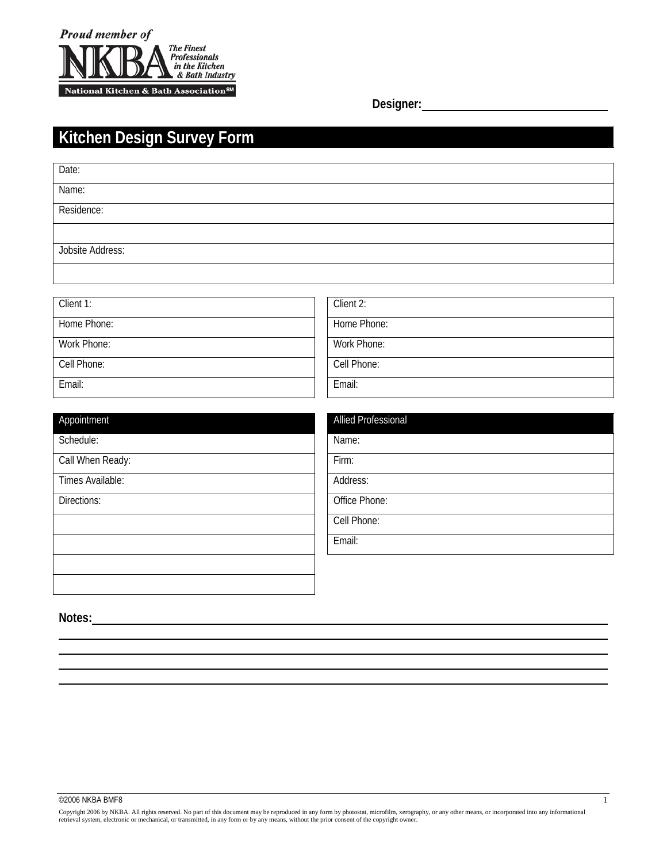

**Designer:**

# **Kitchen Design Survey Form**

| Name:<br>Residence: |
|---------------------|
|                     |
|                     |
|                     |
| Jobsite Address:    |

| Client 1:   | Client 2:   |
|-------------|-------------|
| Home Phone: | Home Phone: |
| Work Phone: | Work Phone: |
| Cell Phone: | Cell Phone: |
| Email:      | Email:      |

| Appointment      | <b>Allied Professional</b> |
|------------------|----------------------------|
| Schedule:        | Name:                      |
| Call When Ready: | Firm:                      |
| Times Available: | Address:                   |
| Directions:      | Office Phone:              |
|                  | Cell Phone:                |
|                  | Email:                     |
|                  |                            |
|                  |                            |

**Notes:** 

 $\overline{a}$ l,  $\overline{a}$  $\overline{a}$ 

Copyright 2006 by NKBA. All rights reserved. No part of this document may be reproduced in any form by photostat, microfilm, xerography, or any other means, or incorporated into any informational<br>retrieval system, electron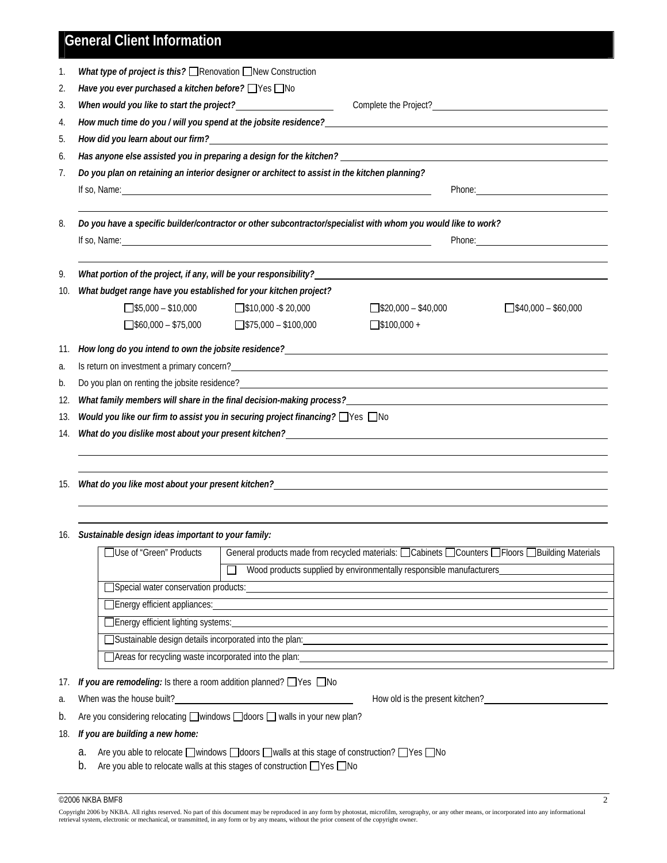## **General Client Information**

|                                                        | What type of project is this? Renovation New Construction                                                                                                                                                                            |                                                                                                                                                                                                                                |                                                                                                                                                                                                                                |
|--------------------------------------------------------|--------------------------------------------------------------------------------------------------------------------------------------------------------------------------------------------------------------------------------------|--------------------------------------------------------------------------------------------------------------------------------------------------------------------------------------------------------------------------------|--------------------------------------------------------------------------------------------------------------------------------------------------------------------------------------------------------------------------------|
| Have you ever purchased a kitchen before? Ves No       |                                                                                                                                                                                                                                      |                                                                                                                                                                                                                                |                                                                                                                                                                                                                                |
|                                                        | When would you like to start the project?<br><u> </u>                                                                                                                                                                                |                                                                                                                                                                                                                                |                                                                                                                                                                                                                                |
|                                                        |                                                                                                                                                                                                                                      | How much time do you / will you spend at the jobsite residence? Network and the set of the set of the set of the set of the set of the set of the set of the set of the set of the set of the set of the set of the set of the |                                                                                                                                                                                                                                |
|                                                        |                                                                                                                                                                                                                                      | How did you learn about our firm? And the state of the state of the state of the state of the state of the state of the state of the state of the state of the state of the state of the state of the state of the state of th |                                                                                                                                                                                                                                |
|                                                        |                                                                                                                                                                                                                                      |                                                                                                                                                                                                                                |                                                                                                                                                                                                                                |
|                                                        | Do you plan on retaining an interior designer or architect to assist in the kitchen planning?                                                                                                                                        |                                                                                                                                                                                                                                |                                                                                                                                                                                                                                |
|                                                        | If so, Name: <u>contract the contract of the contract of the contract of the contract of the contract of the contract of the contract of the contract of the contract of the contract of the contract of the contract of the con</u> |                                                                                                                                                                                                                                |                                                                                                                                                                                                                                |
|                                                        |                                                                                                                                                                                                                                      | Do you have a specific builder/contractor or other subcontractor/specialist with whom you would like to work?                                                                                                                  |                                                                                                                                                                                                                                |
|                                                        | If so, Name: <u>the contract of the contract of the contract of the contract of the contract of the contract of the contract of the contract of the contract of the contract of the contract of the contract of the contract of </u> |                                                                                                                                                                                                                                | Phone: The contract of the contract of the contract of the contract of the contract of the contract of the contract of the contract of the contract of the contract of the contract of the contract of the contract of the con |
|                                                        | What portion of the project, if any, will be your responsibility?                                                                                                                                                                    |                                                                                                                                                                                                                                |                                                                                                                                                                                                                                |
| 10.                                                    | What budget range have you established for your kitchen project?                                                                                                                                                                     |                                                                                                                                                                                                                                |                                                                                                                                                                                                                                |
| $5,000 - $10,000$                                      | $\Box$ \$10,000 -\$20,000                                                                                                                                                                                                            | $\sqrt{$}320,000 - $40,000$                                                                                                                                                                                                    | $540,000 - $60,000$                                                                                                                                                                                                            |
| $560,000 - 175,000$                                    | $575,000 - $100,000$                                                                                                                                                                                                                 | $5100,000 +$                                                                                                                                                                                                                   |                                                                                                                                                                                                                                |
| 11.                                                    |                                                                                                                                                                                                                                      |                                                                                                                                                                                                                                |                                                                                                                                                                                                                                |
|                                                        |                                                                                                                                                                                                                                      |                                                                                                                                                                                                                                |                                                                                                                                                                                                                                |
|                                                        |                                                                                                                                                                                                                                      | Do you plan on renting the jobsite residence?<br>The second state of the second state of the second state of the second state of the second state of the second                                                                |                                                                                                                                                                                                                                |
| 12.                                                    |                                                                                                                                                                                                                                      | What family members will share in the final decision-making process?                                                                                                                                                           |                                                                                                                                                                                                                                |
| 13.                                                    | Would you like our firm to assist you in securing project financing? □ Yes □ No                                                                                                                                                      |                                                                                                                                                                                                                                |                                                                                                                                                                                                                                |
| 14.                                                    |                                                                                                                                                                                                                                      |                                                                                                                                                                                                                                |                                                                                                                                                                                                                                |
|                                                        |                                                                                                                                                                                                                                      |                                                                                                                                                                                                                                |                                                                                                                                                                                                                                |
| 15.                                                    |                                                                                                                                                                                                                                      | What do you like most about your present kitchen? University of the control of the control of the control of the control of the control of the control of the control of the control of the control of the control of the cont |                                                                                                                                                                                                                                |
|                                                        |                                                                                                                                                                                                                                      |                                                                                                                                                                                                                                |                                                                                                                                                                                                                                |
| 16. Sustainable design ideas important to your family: |                                                                                                                                                                                                                                      |                                                                                                                                                                                                                                |                                                                                                                                                                                                                                |
| □Use of "Green" Products                               |                                                                                                                                                                                                                                      | General products made from recycled materials: □ Cabinets □ Counters □ Floors □ Building Materials                                                                                                                             |                                                                                                                                                                                                                                |

| Wood products supplied by environmentally responsible manufacturers |  |  |  |  |
|---------------------------------------------------------------------|--|--|--|--|
| Special water conservation products:                                |  |  |  |  |
| Energy efficient appliances:                                        |  |  |  |  |
| □ Energy efficient lighting systems:                                |  |  |  |  |
| □ Sustainable design details incorporated into the plan:            |  |  |  |  |
| □ Areas for recycling waste incorporated into the plan:             |  |  |  |  |

17. *If you are remodeling:* Is there a room addition planned? Ves ONo

a. When was the house built? How old is the present kitchen?

b. Are you considering relocating  $\square$  windows  $\square$  doors  $\square$  walls in your new plan?

#### 18. *If you are building a new home:*

- a. Are you able to relocate  $\square$  windows  $\square$  doors  $\square$  walls at this stage of construction?  $\square$  Yes  $\square$  No
- b. Are you able to relocate walls at this stages of construction  $\Box$  Yes  $\Box$  No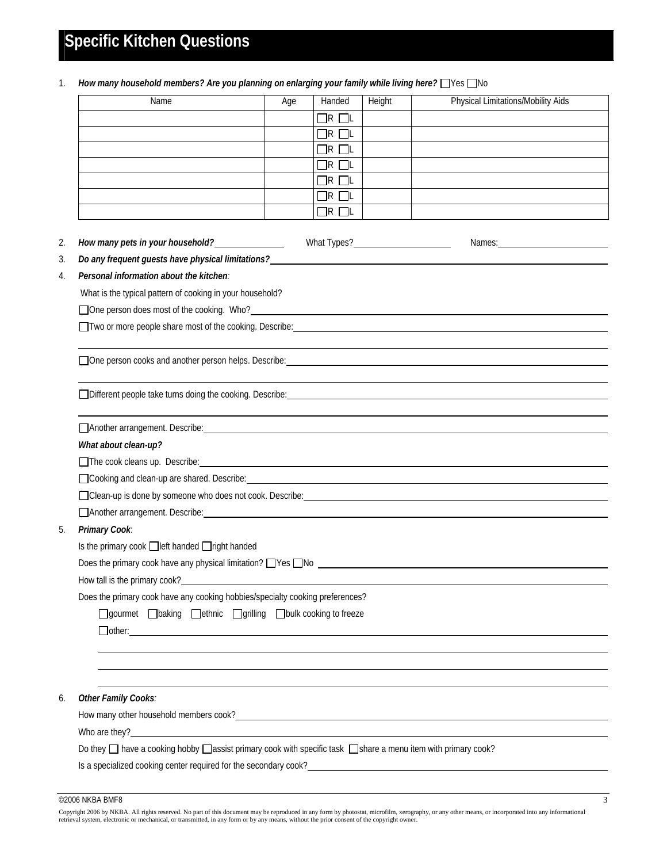# **Specific Kitchen Questions**

1. *How many household members? Are you planning on enlarging your family while living here?* Nes

|                                                                                                                                                                                                                                        | Age | Handed            | Height                            | <b>Physical Limitations/Mobility Aids</b>                                                                                                                                                                                      |
|----------------------------------------------------------------------------------------------------------------------------------------------------------------------------------------------------------------------------------------|-----|-------------------|-----------------------------------|--------------------------------------------------------------------------------------------------------------------------------------------------------------------------------------------------------------------------------|
|                                                                                                                                                                                                                                        |     | $\Box$ R $\Box$ L |                                   |                                                                                                                                                                                                                                |
|                                                                                                                                                                                                                                        |     | $\Box$ r $\Box$ l |                                   |                                                                                                                                                                                                                                |
|                                                                                                                                                                                                                                        |     | $\Box$ R $\Box$ L |                                   |                                                                                                                                                                                                                                |
|                                                                                                                                                                                                                                        |     | $\Box$ R $\Box$ L |                                   |                                                                                                                                                                                                                                |
|                                                                                                                                                                                                                                        |     | $\Box$ R $\Box$ L |                                   |                                                                                                                                                                                                                                |
|                                                                                                                                                                                                                                        |     | $\Box$ r $\Box$ l |                                   |                                                                                                                                                                                                                                |
|                                                                                                                                                                                                                                        |     | $\Box$ R $\Box$ L |                                   |                                                                                                                                                                                                                                |
| How many pets in your household?<br><u>Letter and the set of the set of the set of the set of the set of the set of the set of the set of the set of the set of the set of the set of the set of the set of the set of the set of </u> |     |                   | What Types?<br><u> Universely</u> | Names: and the contract of the contract of the contract of the contract of the contract of the contract of the contract of the contract of the contract of the contract of the contract of the contract of the contract of the |
| Do any frequent guests have physical limitations?<br>Solution by the same product of the same product of the same product of the same product of the same product o                                                                    |     |                   |                                   |                                                                                                                                                                                                                                |
| Personal information about the kitchen:                                                                                                                                                                                                |     |                   |                                   |                                                                                                                                                                                                                                |
| What is the typical pattern of cooking in your household?                                                                                                                                                                              |     |                   |                                   |                                                                                                                                                                                                                                |
|                                                                                                                                                                                                                                        |     |                   |                                   |                                                                                                                                                                                                                                |
|                                                                                                                                                                                                                                        |     |                   |                                   |                                                                                                                                                                                                                                |
|                                                                                                                                                                                                                                        |     |                   |                                   |                                                                                                                                                                                                                                |
|                                                                                                                                                                                                                                        |     |                   |                                   |                                                                                                                                                                                                                                |
|                                                                                                                                                                                                                                        |     |                   |                                   |                                                                                                                                                                                                                                |
|                                                                                                                                                                                                                                        |     |                   |                                   |                                                                                                                                                                                                                                |
| Another arrangement. Describe: 1988. The contract of the contract of the contract of the contract of the contract of the contract of the contract of the contract of the contract of the contract of the contract of the contr         |     |                   |                                   |                                                                                                                                                                                                                                |
| What about clean-up?                                                                                                                                                                                                                   |     |                   |                                   |                                                                                                                                                                                                                                |
|                                                                                                                                                                                                                                        |     |                   |                                   |                                                                                                                                                                                                                                |
|                                                                                                                                                                                                                                        |     |                   |                                   |                                                                                                                                                                                                                                |
| Clean-up is done by someone who does not cook. Describe: example and content to the second service of the second                                                                                                                       |     |                   |                                   |                                                                                                                                                                                                                                |
|                                                                                                                                                                                                                                        |     |                   |                                   |                                                                                                                                                                                                                                |
| Another arrangement. Describe: www.article.com/www.article.com/www.article.com/www.article.com/www.article.com/                                                                                                                        |     |                   |                                   |                                                                                                                                                                                                                                |
|                                                                                                                                                                                                                                        |     |                   |                                   |                                                                                                                                                                                                                                |
| Primary Cook:                                                                                                                                                                                                                          |     |                   |                                   |                                                                                                                                                                                                                                |
| Is the primary cook □ left handed □ right handed                                                                                                                                                                                       |     |                   |                                   |                                                                                                                                                                                                                                |
| Does the primary cook have any physical limitation? $\Box$ Yes $\Box$ No                                                                                                                                                               |     |                   |                                   |                                                                                                                                                                                                                                |
| How tall is the primary cook?<br><u> </u>                                                                                                                                                                                              |     |                   |                                   |                                                                                                                                                                                                                                |
| Does the primary cook have any cooking hobbies/specialty cooking preferences?                                                                                                                                                          |     |                   |                                   |                                                                                                                                                                                                                                |
| □gourmet □baking □ethnic □grilling □bulk cooking to freeze                                                                                                                                                                             |     |                   |                                   |                                                                                                                                                                                                                                |
| $\Box$ other: $\Box$                                                                                                                                                                                                                   |     |                   |                                   |                                                                                                                                                                                                                                |
|                                                                                                                                                                                                                                        |     |                   |                                   |                                                                                                                                                                                                                                |
|                                                                                                                                                                                                                                        |     |                   |                                   |                                                                                                                                                                                                                                |
| Other Family Cooks:                                                                                                                                                                                                                    |     |                   |                                   |                                                                                                                                                                                                                                |
|                                                                                                                                                                                                                                        |     |                   |                                   |                                                                                                                                                                                                                                |
| Who are they?                                                                                                                                                                                                                          |     |                   |                                   |                                                                                                                                                                                                                                |
| Do they □ have a cooking hobby □ assist primary cook with specific task □ share a menu item with primary cook?                                                                                                                         |     |                   |                                   |                                                                                                                                                                                                                                |

#### $\degree$ 2006 NKBA BMF8 3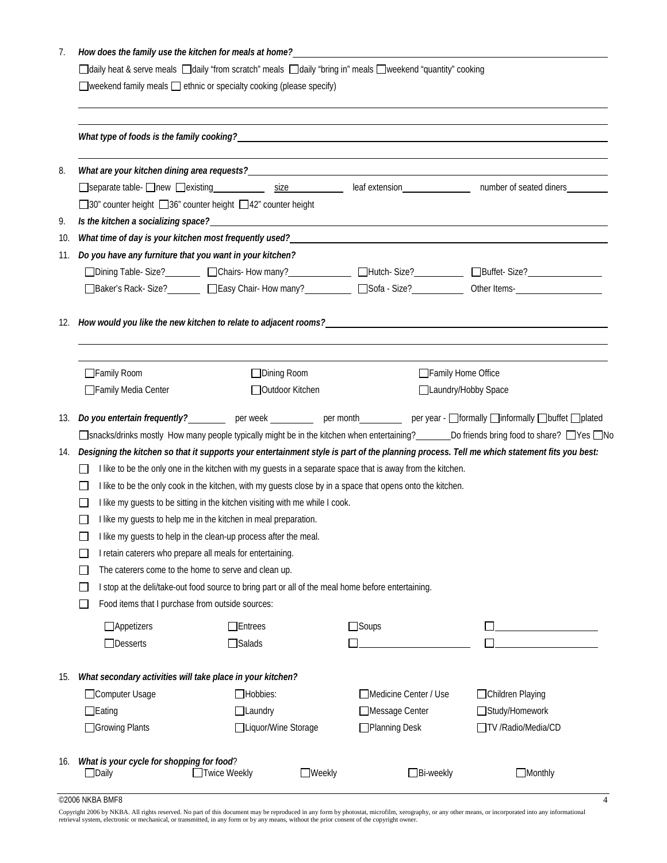|  |  | How does the family use the kitchen for meals at home? |
|--|--|--------------------------------------------------------|
|  |  |                                                        |

 $\Box$ daily heat & serve meals  $\Box$ daily "from scratch" meals  $\Box$ daily "bring in" meals  $\Box$ weekend "quantity" cooking

 $\Box$  weekend family meals  $\Box$  ethnic or specialty cooking (please specify)

| 8.  |                                                                                                                                                                                                                                                            |                                                                                                                                                                                                                                                                                                                                                                                                                                                                                                                                                                                                                   |               |                                                             |                                     |                     |
|-----|------------------------------------------------------------------------------------------------------------------------------------------------------------------------------------------------------------------------------------------------------------|-------------------------------------------------------------------------------------------------------------------------------------------------------------------------------------------------------------------------------------------------------------------------------------------------------------------------------------------------------------------------------------------------------------------------------------------------------------------------------------------------------------------------------------------------------------------------------------------------------------------|---------------|-------------------------------------------------------------|-------------------------------------|---------------------|
|     | □separate table- □new □existing _____________ size _________________ leaf extension ________________ number of seated diners _________                                                                                                                     |                                                                                                                                                                                                                                                                                                                                                                                                                                                                                                                                                                                                                   |               |                                                             |                                     |                     |
|     | □30" counter height □36" counter height □42" counter height                                                                                                                                                                                                |                                                                                                                                                                                                                                                                                                                                                                                                                                                                                                                                                                                                                   |               |                                                             |                                     |                     |
| 9.  | Is the kitchen a socializing space? A contract the contract of the contract of the contract of the contract of the contract of the contract of the contract of the contract of the contract of the contract of the contract of                             |                                                                                                                                                                                                                                                                                                                                                                                                                                                                                                                                                                                                                   |               |                                                             |                                     |                     |
| 10. |                                                                                                                                                                                                                                                            |                                                                                                                                                                                                                                                                                                                                                                                                                                                                                                                                                                                                                   |               |                                                             |                                     |                     |
| 11. | Do you have any furniture that you want in your kitchen?                                                                                                                                                                                                   |                                                                                                                                                                                                                                                                                                                                                                                                                                                                                                                                                                                                                   |               |                                                             |                                     |                     |
|     | □Dining Table- Size?<br>□Dining Table- Size?<br>□Dining Table- Size?<br>□Dining Table- Size?<br>□Dining Table- Size?<br>□Dining Table- Size?<br>□Dining Table- Size?<br>□Dining Table- Size?<br>□Dining Table- Size?<br>□Dining Table-                     |                                                                                                                                                                                                                                                                                                                                                                                                                                                                                                                                                                                                                   |               |                                                             |                                     |                     |
|     |                                                                                                                                                                                                                                                            |                                                                                                                                                                                                                                                                                                                                                                                                                                                                                                                                                                                                                   |               |                                                             |                                     |                     |
|     | 12. How would you like the new kitchen to relate to adjacent rooms?                                                                                                                                                                                        |                                                                                                                                                                                                                                                                                                                                                                                                                                                                                                                                                                                                                   |               |                                                             |                                     |                     |
|     | □Family Room                                                                                                                                                                                                                                               | □Dining Room                                                                                                                                                                                                                                                                                                                                                                                                                                                                                                                                                                                                      |               |                                                             | Family Home Office                  |                     |
|     | Family Media Center                                                                                                                                                                                                                                        | Outdoor Kitchen                                                                                                                                                                                                                                                                                                                                                                                                                                                                                                                                                                                                   |               |                                                             | □Laundry/Hobby Space                |                     |
|     | 14. Designing the kitchen so that it supports your entertainment style is part of the planning process. Tell me which statement fits you best:<br>The caterers come to the home to serve and clean up.<br>Food items that I purchase from outside sources: | I like to be the only one in the kitchen with my guests in a separate space that is away from the kitchen.<br>I like to be the only cook in the kitchen, with my guests close by in a space that opens onto the kitchen.<br>I like my guests to be sitting in the kitchen visiting with me while I cook.<br>I like my guests to help me in the kitchen in meal preparation.<br>I like my guests to help in the clean-up process after the meal.<br>I retain caterers who prepare all meals for entertaining.<br>I stop at the deli/take-out food source to bring part or all of the meal home before entertaining |               |                                                             |                                     |                     |
|     | $\Box$ Appetizers<br>□Desserts                                                                                                                                                                                                                             | $\Box$ Entrees<br>$\Box$ Salads                                                                                                                                                                                                                                                                                                                                                                                                                                                                                                                                                                                   |               | □Soups                                                      |                                     |                     |
| 15. | What secondary activities will take place in your kitchen?<br>□Computer Usage<br>$\Box$ Eating<br>□Growing Plants                                                                                                                                          | Hobbies:<br>$\Box$ Laundry<br>□Liquor/Wine Storage                                                                                                                                                                                                                                                                                                                                                                                                                                                                                                                                                                |               | ■Medicine Center / Use<br>□Message Center<br>□Planning Desk | □Children Playing<br>Study/Homework | □TV /Radio/Media/CD |
| 16. | What is your cycle for shopping for food?<br>$\Box$ Daily                                                                                                                                                                                                  | Twice Weekly                                                                                                                                                                                                                                                                                                                                                                                                                                                                                                                                                                                                      | $\Box$ Weekly | Bi-weekly                                                   |                                     | $\Box$ Monthly      |

 $\degree$ 2006 NKBA BMF8 4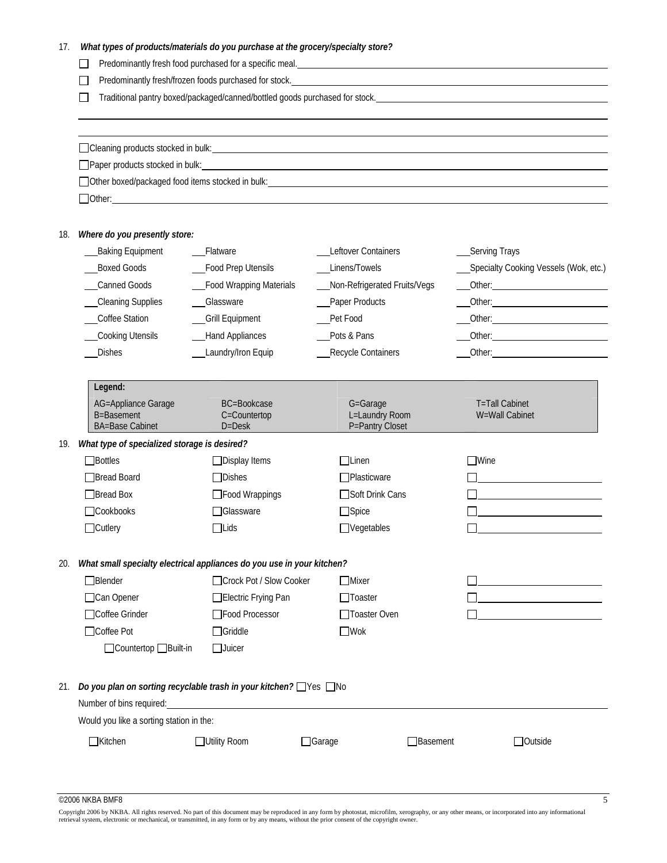| What types of products/materials do you purchase at the grocery/specialty store? |  |  |
|----------------------------------------------------------------------------------|--|--|
|----------------------------------------------------------------------------------|--|--|

Predominantly fresh food purchased for a specific meal. <u>Communication and a second contract of the second</u>

Predominantly fresh/frozen foods purchased for stock.

Traditional pantry boxed/packaged/canned/bottled goods purchased for stock.

Cleaning products stocked in bulk:

□Paper products stocked in bulk: ■ Paper products stocked in bulk:

Other boxed/packaged food items stocked in bulk:

Other:

 $\overline{a}$  $\overline{a}$ 

#### 18. *Where do you presently store:*

|     | <b>Baking Equipment</b>                                                | Flatware                                         | Leftover Containers                           | __Serving Trays                                                                                                                                                                                                                     |
|-----|------------------------------------------------------------------------|--------------------------------------------------|-----------------------------------------------|-------------------------------------------------------------------------------------------------------------------------------------------------------------------------------------------------------------------------------------|
|     | <b>Boxed Goods</b>                                                     | Food Prep Utensils                               | Linens/Towels                                 | Specialty Cooking Vessels (Wok, etc.)                                                                                                                                                                                               |
|     | Canned Goods                                                           | Food Wrapping Materials                          | Non-Refrigerated Fruits/Vegs                  | Other: <u>Communication</u>                                                                                                                                                                                                         |
|     | <b>Cleaning Supplies</b>                                               | _Glassware                                       | Paper Products                                |                                                                                                                                                                                                                                     |
|     | Coffee Station                                                         | <b>Grill Equipment</b>                           | Pet Food                                      |                                                                                                                                                                                                                                     |
|     | Cooking Utensils                                                       | <b>Hand Appliances</b>                           | Pots & Pans                                   | Other: the contract of the contract of the contract of the contract of the contract of the contract of the contract of the contract of the contract of the contract of the contract of the contract of the contract of the con      |
|     | <b>Dishes</b>                                                          | Laundry/Iron Equip                               | Recycle Containers                            | Other: <u>University</u> Other and the University of the University of the University of the University of the University of the University of the University of the University of the University of the University of the Universi |
|     | Legend:                                                                |                                                  |                                               |                                                                                                                                                                                                                                     |
|     | AG=Appliance Garage<br>B=Basement<br><b>BA=Base Cabinet</b>            | <b>BC=Bookcase</b><br>C=Countertop<br>$D = Desk$ | G=Garage<br>L=Laundry Room<br>P=Pantry Closet | <b>T</b> =Tall Cabinet<br>W=Wall Cabinet                                                                                                                                                                                            |
| 19. | What type of specialized storage is desired?                           |                                                  |                                               |                                                                                                                                                                                                                                     |
|     | $\Box$ Bottles                                                         | $\Box$ Display Items                             | $\Box$ Linen                                  | $\Box$ Wine                                                                                                                                                                                                                         |
|     | Bread Board                                                            | $\Box$ Dishes                                    | □Plasticware                                  |                                                                                                                                                                                                                                     |
|     | Bread Box                                                              | □Food Wrappings                                  | □Soft Drink Cans                              |                                                                                                                                                                                                                                     |
|     | Cookbooks                                                              | <b>Slassware</b>                                 | $\Box$ Spice                                  |                                                                                                                                                                                                                                     |
|     | $\Box$ Cutlery                                                         | $\Box$ Lids                                      | $\Box$ Vegetables                             |                                                                                                                                                                                                                                     |
| 20. | What small specialty electrical appliances do you use in your kitchen? |                                                  |                                               |                                                                                                                                                                                                                                     |
|     | $\Box$ Blender                                                         | □ Crock Pot / Slow Cooker                        | $\Box$ Mixer                                  |                                                                                                                                                                                                                                     |
|     | □Can Opener                                                            | Electric Frying Pan                              | $\Box$ Toaster                                |                                                                                                                                                                                                                                     |
|     | □Coffee Grinder                                                        | Food Processor                                   | □Toaster Oven                                 |                                                                                                                                                                                                                                     |
|     | □Coffee Pot                                                            | $\Box$ Griddle                                   | $\square$ Wok                                 |                                                                                                                                                                                                                                     |
|     | □Countertop □Built-in                                                  | $\Box$ Juicer                                    |                                               |                                                                                                                                                                                                                                     |
| 21. | Do you plan on sorting recyclable trash in your kitchen? □ Yes □ No    |                                                  |                                               |                                                                                                                                                                                                                                     |
|     | Number of bins required:                                               |                                                  |                                               |                                                                                                                                                                                                                                     |
|     | Would you like a sorting station in the:                               |                                                  |                                               |                                                                                                                                                                                                                                     |
|     | $\Box$ Kitchen                                                         | □Utility Room                                    | $\Box$ Garage<br>$\Box$ Basement              | <b>Outside</b>                                                                                                                                                                                                                      |

 $^{\circ}$ 2006 NKBA BMF8 5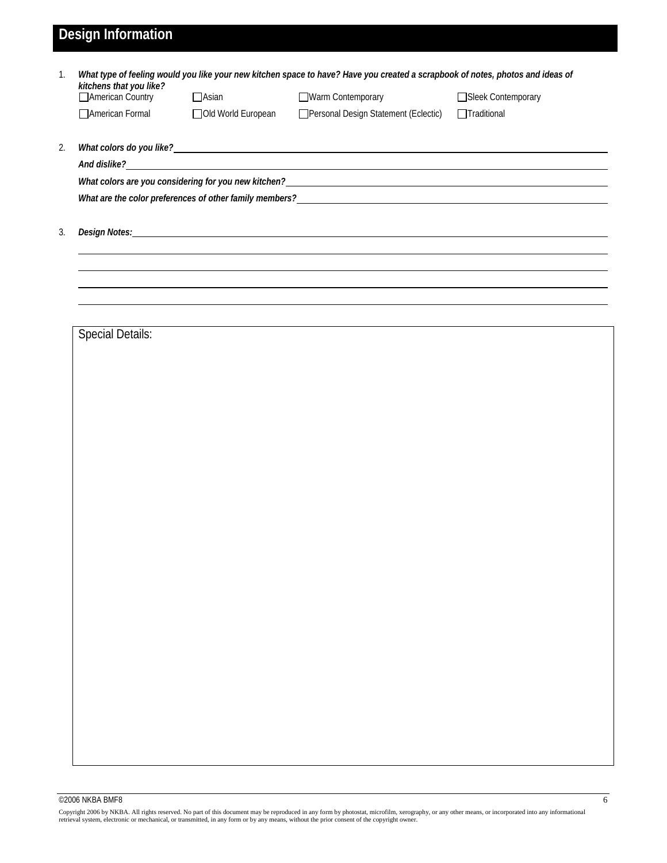## **Design Information**

| American Country        | $\Box$ Asian         | Warm Contemporary                                                                                                                                                                                                              | □Sleek Contemporary |
|-------------------------|----------------------|--------------------------------------------------------------------------------------------------------------------------------------------------------------------------------------------------------------------------------|---------------------|
| □ American Formal       | □ Old World European | Personal Design Statement (Eclectic)                                                                                                                                                                                           | □Traditional        |
|                         |                      |                                                                                                                                                                                                                                |                     |
| And dislike?            |                      | <u> 1989 - Johann Stoff, deutscher Stoffen und der Stoffen und der Stoffen und der Stoffen und der Stoffen und der</u>                                                                                                         |                     |
|                         |                      |                                                                                                                                                                                                                                |                     |
|                         |                      |                                                                                                                                                                                                                                |                     |
|                         |                      | Design Notes: Notes: Notes: Notes: Notes: Notes: Notes: Notes: Notes: Notes: Notes: Notes: Notes: Notes: Notes: Notes: Notes: Notes: Notes: Notes: Notes: Notes: Notes: Notes: Notes: Notes: Notes: Notes: Notes: Notes: Notes |                     |
|                         |                      |                                                                                                                                                                                                                                |                     |
|                         |                      |                                                                                                                                                                                                                                |                     |
| <b>Special Details:</b> |                      |                                                                                                                                                                                                                                |                     |
|                         |                      |                                                                                                                                                                                                                                |                     |
|                         |                      |                                                                                                                                                                                                                                |                     |
|                         |                      |                                                                                                                                                                                                                                |                     |
|                         |                      |                                                                                                                                                                                                                                |                     |
|                         |                      |                                                                                                                                                                                                                                |                     |
|                         |                      |                                                                                                                                                                                                                                |                     |
|                         |                      |                                                                                                                                                                                                                                |                     |
|                         |                      |                                                                                                                                                                                                                                |                     |
|                         |                      |                                                                                                                                                                                                                                |                     |
|                         |                      |                                                                                                                                                                                                                                |                     |
|                         |                      |                                                                                                                                                                                                                                |                     |
|                         |                      |                                                                                                                                                                                                                                |                     |
|                         |                      |                                                                                                                                                                                                                                |                     |
|                         |                      |                                                                                                                                                                                                                                |                     |
|                         |                      |                                                                                                                                                                                                                                |                     |
|                         |                      |                                                                                                                                                                                                                                |                     |

©2006 NKBA BMF8 6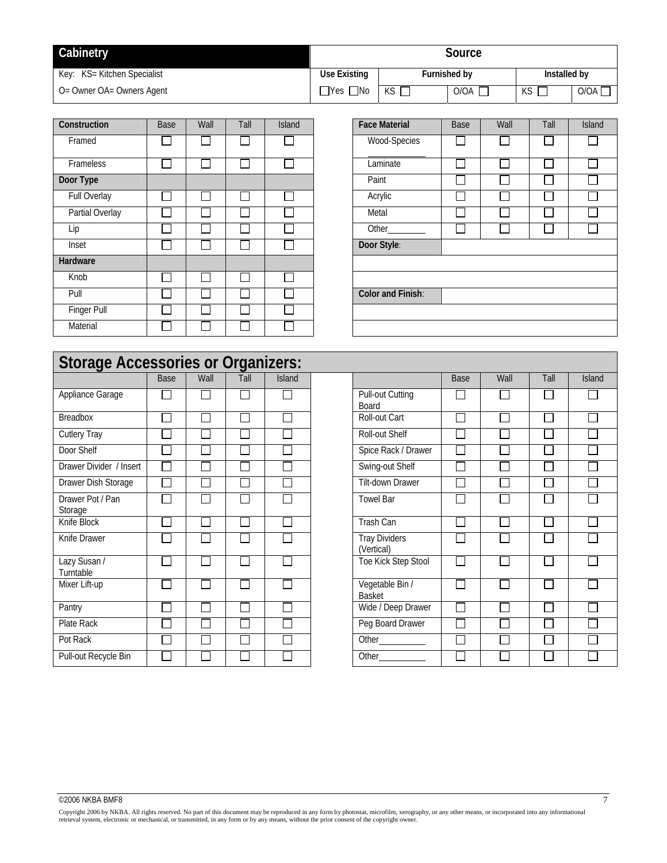| Cabinetry                   | Source               |                     |            |              |            |  |
|-----------------------------|----------------------|---------------------|------------|--------------|------------|--|
| Key: KS= Kitchen Specialist | Use Existing         | <b>Furnished by</b> |            | Installed by |            |  |
| O= Owner OA= Owners Agent   | $\Box$ Yes $\Box$ No | KS.                 | $O/OA$ $[$ | KS           | $O/OA$ $L$ |  |

| Construction        | Base | Wall            | Tall   | <b>Island</b> | <b>Face Material</b> | Base                        | Wall | Tall | Island                   |
|---------------------|------|-----------------|--------|---------------|----------------------|-----------------------------|------|------|--------------------------|
| Framed              |      | <b>Contract</b> |        |               | Wood-Species         | $\Box$                      |      |      |                          |
| Frameless           |      | $\mathsf{I}$    |        |               | Laminate             | П                           |      |      |                          |
| Door Type           |      |                 |        |               | Paint                | $\mathcal{L}_{\mathcal{A}}$ |      |      |                          |
| <b>Full Overlay</b> |      |                 |        |               | Acrylic              | $\mathbb{Z}^2$              |      |      |                          |
| Partial Overlay     |      | , I             | $\sim$ | $\sim$        | Metal                | $\overline{\phantom{a}}$    |      |      | $\overline{\phantom{a}}$ |
| Lip                 |      | $\mathsf{I}$    |        |               | Other_________       | $\Box$                      | Ξ    |      |                          |
| Inset               |      | <b>College</b>  |        | $\sim$        | Door Style:          |                             |      |      |                          |
| Hardware            |      |                 |        |               |                      |                             |      |      |                          |
| Knob                |      | ×.              | ×.     | $\sim$        |                      |                             |      |      |                          |
| Pull                |      | $\mathsf{I}$    |        |               | Color and Finish:    |                             |      |      |                          |
| Finger Pull         |      | ×.              |        |               |                      |                             |      |      |                          |
| Material            |      |                 |        |               |                      |                             |      |      |                          |

| <b>Face Material</b> | Base | Wall | Tall | <b>Island</b> |
|----------------------|------|------|------|---------------|
| Wood-Species         |      |      |      |               |
| Laminate             |      |      |      |               |
| Paint                |      |      |      |               |
| Acrylic              |      |      |      |               |
| Metal                |      |      |      |               |
| Other                |      |      |      |               |
| Door Style:          |      |      |      |               |
|                      |      |      |      |               |
|                      |      |      |      |               |
| Color and Finish:    |      |      |      |               |
|                      |      |      |      |               |
|                      |      |      |      |               |

|                             |             |      | <b>Storage Accessories or Organizers:</b> |               |  |                                    |  |  |  |  |  |  |  |  |
|-----------------------------|-------------|------|-------------------------------------------|---------------|--|------------------------------------|--|--|--|--|--|--|--|--|
|                             | <b>Base</b> | Wall | Tall                                      | <b>Island</b> |  |                                    |  |  |  |  |  |  |  |  |
| Appliance Garage            |             |      |                                           |               |  | Pull-out Cutting<br><b>Board</b>   |  |  |  |  |  |  |  |  |
| <b>Breadbox</b>             |             |      |                                           |               |  | Roll-out Cart                      |  |  |  |  |  |  |  |  |
| <b>Cutlery Tray</b>         |             |      |                                           |               |  | Roll-out Shelf                     |  |  |  |  |  |  |  |  |
| Door Shelf                  |             |      |                                           |               |  | Spice Rack / Drawer                |  |  |  |  |  |  |  |  |
| Drawer Divider / Insert     |             |      |                                           |               |  | Swing-out Shelf                    |  |  |  |  |  |  |  |  |
| Drawer Dish Storage         |             |      |                                           |               |  | Tilt-down Drawer                   |  |  |  |  |  |  |  |  |
| Drawer Pot / Pan<br>Storage |             |      |                                           |               |  | <b>Towel Bar</b>                   |  |  |  |  |  |  |  |  |
| Knife Block                 |             |      |                                           |               |  | <b>Trash Can</b>                   |  |  |  |  |  |  |  |  |
| Knife Drawer                |             |      |                                           |               |  | <b>Tray Dividers</b><br>(Vertical) |  |  |  |  |  |  |  |  |
| Lazy Susan /<br>Turntable   |             |      |                                           |               |  | Toe Kick Step Stool                |  |  |  |  |  |  |  |  |
| Mixer Lift-up               |             |      |                                           |               |  | Vegetable Bin /<br><b>Basket</b>   |  |  |  |  |  |  |  |  |
| Pantry                      |             |      |                                           |               |  | Wide / Deep Drawer                 |  |  |  |  |  |  |  |  |
| Plate Rack                  |             |      |                                           |               |  | Peg Board Drawer                   |  |  |  |  |  |  |  |  |
| Pot Rack                    |             |      |                                           |               |  |                                    |  |  |  |  |  |  |  |  |
| Pull-out Recycle Bin        |             |      |                                           |               |  | Other                              |  |  |  |  |  |  |  |  |

|             |      | sories or Organizers: |               |                                    |             |      |      |               |
|-------------|------|-----------------------|---------------|------------------------------------|-------------|------|------|---------------|
| <b>Base</b> | Wall | Tall                  | <b>Island</b> |                                    | <b>Base</b> | Wall | Tall | <b>Island</b> |
|             |      |                       |               | <b>Pull-out Cutting</b><br>Board   |             |      |      |               |
|             |      |                       |               | Roll-out Cart                      |             |      |      |               |
|             |      |                       |               | Roll-out Shelf                     |             |      |      |               |
|             |      |                       |               | Spice Rack / Drawer                |             |      |      |               |
|             |      |                       |               | Swing-out Shelf                    |             |      |      |               |
|             |      |                       |               | Tilt-down Drawer                   |             |      |      |               |
|             |      |                       |               | <b>Towel Bar</b>                   |             |      |      |               |
|             |      |                       |               | <b>Trash Can</b>                   |             |      |      |               |
|             |      |                       |               | <b>Tray Dividers</b><br>(Vertical) |             |      |      |               |
|             |      |                       |               | Toe Kick Step Stool                |             |      |      |               |
|             |      |                       |               | Vegetable Bin /<br>Basket          |             |      |      |               |
|             |      |                       |               | Wide / Deep Drawer                 |             |      |      |               |
|             |      |                       |               | Peg Board Drawer                   |             |      |      |               |
|             |      |                       |               |                                    |             |      |      |               |
|             |      |                       |               |                                    |             |      |      |               |

## $\circ$ 2006 NKBA BMF8 7

Copyright 2006 by NKBA. All rights reserved. No part of this document may be reproduced in any form by photostat, microfilm, xerography, or any other means, or incorporated into any informational<br>retrieval system, electron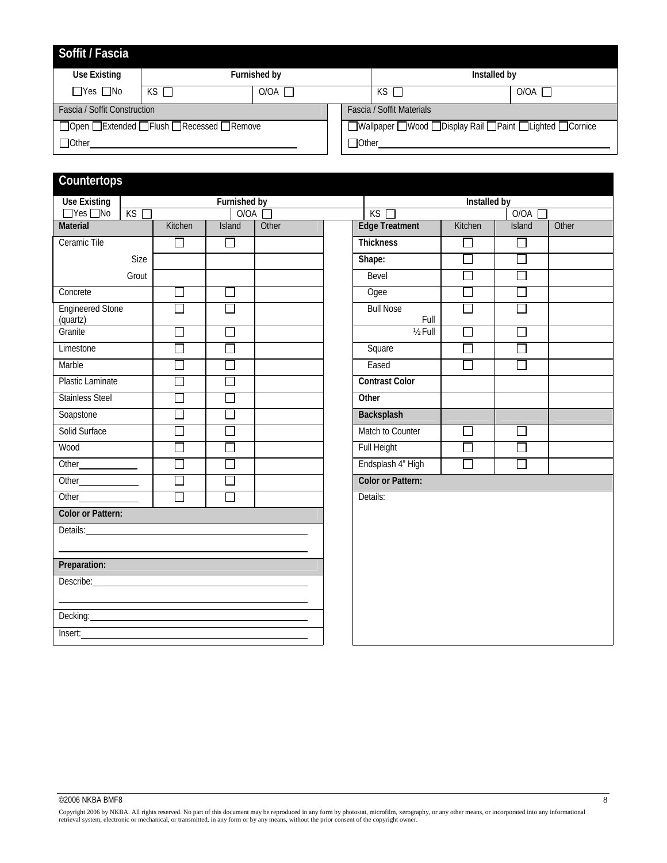| Soffit / Fascia              |                                               |              |         |                                                     |        |
|------------------------------|-----------------------------------------------|--------------|---------|-----------------------------------------------------|--------|
| Use Existing                 |                                               | Furnished by |         | Installed by                                        |        |
| $\Box$ Yes $\Box$ No         | $KS$ $\Box$                                   | AO\O         |         | KS I                                                | O/OA I |
| Fascia / Soffit Construction |                                               |              |         | <b>Fascia / Soffit Materials</b>                    |        |
|                              | □ Open □ Extended □ Flush □ Recessed □ Remove |              |         | ■ Wallpaper Wood Display Rail Paint Lighted Cornice |        |
| □ Other                      |                                               |              | □ Other |                                                     |        |

## **Countertops**

| <b>Use Existing</b>                                                                                                                                                                                                            |       |                          | Furnished by |       | Installed by             |                          |        |       |  |  |  |
|--------------------------------------------------------------------------------------------------------------------------------------------------------------------------------------------------------------------------------|-------|--------------------------|--------------|-------|--------------------------|--------------------------|--------|-------|--|--|--|
| $\Box$ Yes $\Box$ No                                                                                                                                                                                                           | KS    |                          | O/OA         |       | KS                       |                          | 0/0A [ |       |  |  |  |
| Material                                                                                                                                                                                                                       |       | Kitchen                  | Island       | Other | <b>Edge Treatment</b>    | Kitchen                  | Island | Other |  |  |  |
| Ceramic Tile                                                                                                                                                                                                                   |       | $\Box$                   | $\Box$       |       | <b>Thickness</b>         | J.                       | $\Box$ |       |  |  |  |
|                                                                                                                                                                                                                                | Size  |                          |              |       | Shape:                   | $\overline{\phantom{0}}$ | $\Box$ |       |  |  |  |
|                                                                                                                                                                                                                                | Grout |                          |              |       | Bevel                    | ×                        |        |       |  |  |  |
| Concrete                                                                                                                                                                                                                       |       | $\mathcal{L}$            | $\Box$       |       | Ogee                     | ÷,                       |        |       |  |  |  |
| <b>Engineered Stone</b><br>(quartz)                                                                                                                                                                                            |       | $\Box$                   | П            |       | <b>Bull Nose</b><br>Full | П                        |        |       |  |  |  |
| Granite                                                                                                                                                                                                                        |       |                          | ٦            |       | $1/2$ Full               | ٦                        |        |       |  |  |  |
| Limestone                                                                                                                                                                                                                      |       |                          | $\Box$       |       | Square                   | $\overline{\phantom{0}}$ |        |       |  |  |  |
| Marble                                                                                                                                                                                                                         |       |                          | $\Box$       |       | Eased                    | $\Box$                   | $\Box$ |       |  |  |  |
| Plastic Laminate                                                                                                                                                                                                               |       |                          |              |       | <b>Contrast Color</b>    |                          |        |       |  |  |  |
| <b>Stainless Steel</b>                                                                                                                                                                                                         |       |                          | $\Box$       |       | Other                    |                          |        |       |  |  |  |
| Soapstone                                                                                                                                                                                                                      |       |                          | $\Box$       |       | Backsplash               |                          |        |       |  |  |  |
| Solid Surface                                                                                                                                                                                                                  |       |                          | $\Box$       |       | Match to Counter         | ×                        |        |       |  |  |  |
| Wood                                                                                                                                                                                                                           |       |                          | $\Box$       |       | Full Height              | T,                       |        |       |  |  |  |
|                                                                                                                                                                                                                                |       |                          | ×            |       | Endsplash 4" High        | $\Box$                   |        |       |  |  |  |
|                                                                                                                                                                                                                                |       | $\overline{\phantom{a}}$ | $\Box$       |       | <b>Color or Pattern:</b> |                          |        |       |  |  |  |
|                                                                                                                                                                                                                                |       | $\Box$                   | П            |       | Details:                 |                          |        |       |  |  |  |
| <b>Color or Pattern:</b>                                                                                                                                                                                                       |       |                          |              |       |                          |                          |        |       |  |  |  |
| Details:                                                                                                                                                                                                                       |       |                          |              |       |                          |                          |        |       |  |  |  |
| Preparation:                                                                                                                                                                                                                   |       |                          |              |       |                          |                          |        |       |  |  |  |
| Describe:                                                                                                                                                                                                                      |       |                          |              |       |                          |                          |        |       |  |  |  |
|                                                                                                                                                                                                                                |       |                          |              |       |                          |                          |        |       |  |  |  |
| Decking: example and a series of the series of the series of the series of the series of the series of the series of the series of the series of the series of the series of the series of the series of the series of the ser |       |                          |              |       |                          |                          |        |       |  |  |  |
| Insert:                                                                                                                                                                                                                        |       |                          |              |       |                          |                          |        |       |  |  |  |
|                                                                                                                                                                                                                                |       |                          |              |       |                          |                          |        |       |  |  |  |

### $\circ$ 2006 NKBA BMF8 8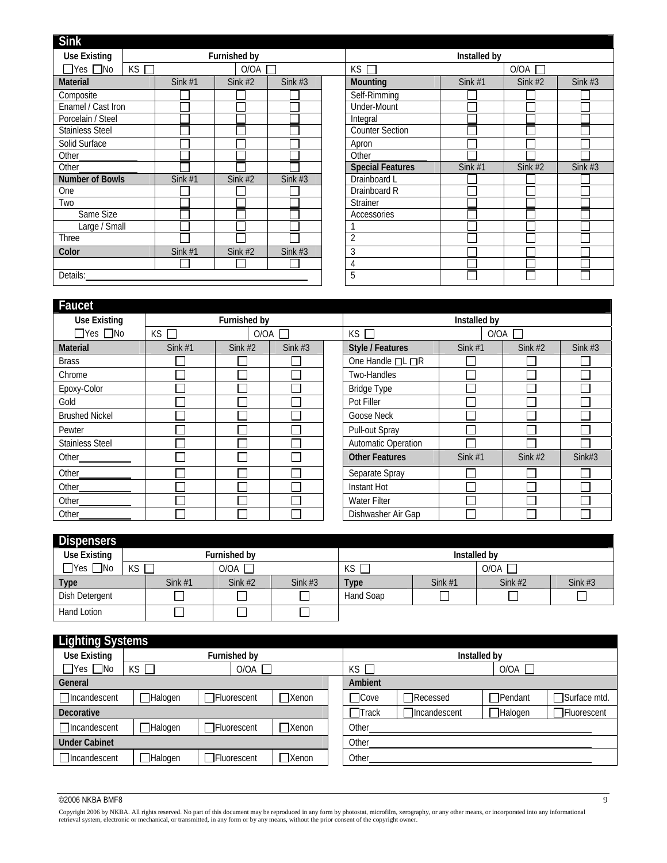| <b>Sink</b>            |    |           |              |           |                         |              |           |           |
|------------------------|----|-----------|--------------|-----------|-------------------------|--------------|-----------|-----------|
| <b>Use Existing</b>    |    |           | Furnished by |           |                         | Installed by |           |           |
| $\Box$ Yes $\Box$ No   | KS |           | O/OA         |           | $KS$ $\Box$             |              | O/OA      |           |
| <b>Material</b>        |    | Sink $#1$ | Sink $#2$    | Sink $#3$ | Mounting                | Sink #1      | Sink $#2$ | Sink $#3$ |
| Composite              |    |           |              |           | Self-Rimming            |              |           |           |
| Enamel / Cast Iron     |    |           |              |           | <b>Under-Mount</b>      |              |           |           |
| Porcelain / Steel      |    |           |              |           | Integral                |              |           |           |
| <b>Stainless Steel</b> |    |           |              |           | <b>Counter Section</b>  |              |           |           |
| Solid Surface          |    |           |              |           | Apron                   |              |           |           |
| Other_                 |    |           |              |           | Other                   |              |           |           |
| Other                  |    |           |              |           | <b>Special Features</b> | Sink $#1$    | Sink $#2$ | Sink $#3$ |
| <b>Number of Bowls</b> |    | Sink $#1$ | Sink $#2$    | Sink $#3$ | Drainboard L            |              |           |           |
| One                    |    |           |              |           | Drainboard R            |              |           |           |
| Two                    |    |           |              |           | <b>Strainer</b>         |              |           |           |
| Same Size              |    |           |              |           | Accessories             |              |           |           |
| Large / Small          |    |           |              |           |                         |              |           |           |
| Three                  |    |           |              |           | $\overline{2}$          |              |           |           |
| Color                  |    | Sink $#1$ | Sink $#2$    | Sink $#3$ | 3                       |              |           |           |
|                        |    |           |              |           | 4                       |              |           |           |
| Details:               |    |           |              |           | $\overline{5}$          |              |           |           |
|                        |    |           |              |           |                         |              |           |           |

| Faucet                 |            |              |           |                     |                       |              |           |           |
|------------------------|------------|--------------|-----------|---------------------|-----------------------|--------------|-----------|-----------|
| <b>Use Existing</b>    |            | Furnished by |           |                     |                       | Installed by |           |           |
| $\Box$ Yes $\Box$ No   | KS<br>O/OA |              |           | $KS$ $\Box$<br>O/OA |                       |              |           |           |
| <b>Material</b>        | Sink $#1$  | Sink $#2$    | Sink $#3$ |                     | Style / Features      | Sink $#1$    | Sink $#2$ | Sink $#3$ |
| <b>Brass</b>           |            |              |           |                     | One Handle □L □R      |              |           |           |
| Chrome                 |            |              |           |                     | Two-Handles           |              |           |           |
| Epoxy-Color            |            |              |           |                     | <b>Bridge Type</b>    |              |           |           |
| Gold                   |            |              |           |                     | Pot Filler            |              |           |           |
| <b>Brushed Nickel</b>  |            |              |           |                     | Goose Neck            |              |           |           |
| Pewter                 |            |              |           |                     | Pull-out Spray        |              |           |           |
| <b>Stainless Steel</b> |            |              |           |                     | Automatic Operation   |              |           |           |
| Other__________        |            |              |           |                     | <b>Other Features</b> | Sink $#1$    | Sink $#2$ | Sink#3    |
| Other                  |            |              |           |                     | Separate Spray        |              |           |           |
| Other                  |            |              |           |                     | Instant Hot           |              |           |           |
| Other                  |            |              |           |                     | <b>Water Filter</b>   |              |           |           |
| Other                  |            |              |           |                     | Dishwasher Air Gap    |              |           |           |

| <b>Dispensers</b>    |    |           |                     |           |              |           |           |           |  |  |
|----------------------|----|-----------|---------------------|-----------|--------------|-----------|-----------|-----------|--|--|
| <b>Use Existing</b>  |    |           | <b>Furnished by</b> |           | Installed by |           |           |           |  |  |
| $\Box$ Yes $\Box$ No | KS |           | O/OA                |           | KS           |           | O/OA      |           |  |  |
| <b>Type</b>          |    | Sink $#1$ | Sink $#2$           | Sink $#3$ | <b>Type</b>  | Sink $#1$ | Sink $#2$ | Sink $#3$ |  |  |
| Dish Detergent       |    |           |                     |           | Hand Soap    |           |           |           |  |  |
| Hand Lotion          |    |           |                     |           |              |           |           |           |  |  |

| <b>Lighting Systems</b> |                  |                     |                |                |                     |                |                     |  |  |  |
|-------------------------|------------------|---------------------|----------------|----------------|---------------------|----------------|---------------------|--|--|--|
| <b>Use Existing</b>     |                  | Furnished by        |                | Installed by   |                     |                |                     |  |  |  |
| $\Box$ Yes $\Box$ No    | $KS$ $\Box$      | O/OA                |                | KS I           | O/OA                |                |                     |  |  |  |
| General                 |                  |                     |                | Ambient        |                     |                |                     |  |  |  |
| Incandescent            | <b>⊣</b> Halogen | <b>TFluorescent</b> | <b>T</b> Xenon | <b>Cove</b>    | Recessed            | Pendant        | Surface mtd.        |  |  |  |
| <b>Decorative</b>       |                  |                     |                | $\sqcap$ Track | <b>Incandescent</b> | $\Box$ Halogen | <b>TFluorescent</b> |  |  |  |
| Incandescent            | <b>⊣</b> Halogen | ∃Fluorescent        | <b>T</b> Xenon | Other          |                     |                |                     |  |  |  |
| <b>Under Cabinet</b>    |                  |                     |                | Other          |                     |                |                     |  |  |  |
| Incandescent            | ∃Halogen         | <b>]Fluorescent</b> | Kenon          | Other          |                     |                |                     |  |  |  |

## $\circ$ 2006 NKBA BMF8 9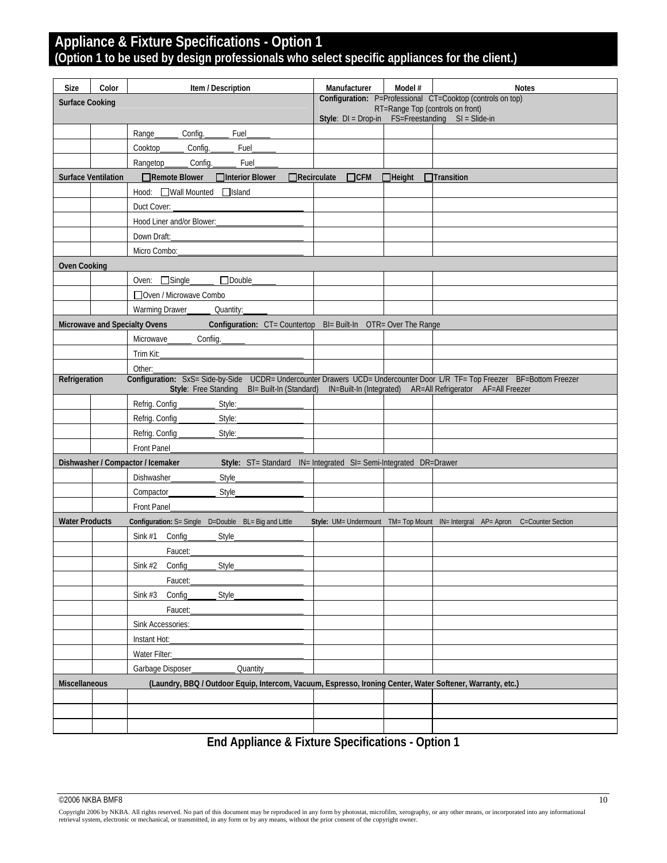## **Appliance & Fixture Specifications - Option 1 (Option 1 to be used by design professionals who select specific appliances for the client.)**

| Size                   | Color                      | Item / Description                                                                                                       | Manufacturer          | Model #                         | <b>Notes</b>                                                                                   |
|------------------------|----------------------------|--------------------------------------------------------------------------------------------------------------------------|-----------------------|---------------------------------|------------------------------------------------------------------------------------------------|
| <b>Surface Cooking</b> |                            |                                                                                                                          |                       |                                 | Configuration: P=Professional CT=Cooktop (controls on top)<br>RT=Range Top (controls on front) |
|                        |                            |                                                                                                                          | Style: $DI = Drop-in$ |                                 | FS=Freestanding SI = Slide-in                                                                  |
|                        |                            | Range<br>Config.<br>Fuel                                                                                                 |                       |                                 |                                                                                                |
|                        |                            | Cooktop<br>Config.<br>Fuel                                                                                               |                       |                                 |                                                                                                |
|                        |                            | Fuel<br>Rangetop<br>Config.                                                                                              |                       |                                 |                                                                                                |
|                        | <b>Surface Ventilation</b> | □Interior Blower<br>$\Box$ Recirculate<br>$\Box$ Remote Blower                                                           | $\Box$ CFM            | $\Box$ Height $\Box$ Transition |                                                                                                |
|                        |                            | Hood: Wall Mounted Island                                                                                                |                       |                                 |                                                                                                |
|                        |                            | Duct Cover:                                                                                                              |                       |                                 |                                                                                                |
|                        |                            | Hood Liner and/or Blower:                                                                                                |                       |                                 |                                                                                                |
|                        |                            | Down Draft:                                                                                                              |                       |                                 |                                                                                                |
|                        |                            | Micro Combo:                                                                                                             |                       |                                 |                                                                                                |
| <b>Oven Cooking</b>    |                            |                                                                                                                          |                       |                                 |                                                                                                |
|                        |                            | □Double<br>Oven: $\Box$ Single                                                                                           |                       |                                 |                                                                                                |
|                        |                            | Oven / Microwave Combo                                                                                                   |                       |                                 |                                                                                                |
|                        |                            | Warming Drawer<br>Quantity:                                                                                              |                       |                                 |                                                                                                |
|                        |                            | Microwave and Specialty Ovens<br>Configuration: CT= Countertop BI= Built-In OTR= Over The Range                          |                       |                                 |                                                                                                |
|                        |                            | Microwave<br>Confiig.                                                                                                    |                       |                                 |                                                                                                |
|                        |                            | Trim Kit:                                                                                                                |                       |                                 |                                                                                                |
|                        |                            | Other:                                                                                                                   |                       |                                 |                                                                                                |
| Refrigeration          |                            | Configuration: SxS= Side-by-Side UCDR= Undercounter Drawers UCD= Undercounter Door L/R TF= Top Freezer BF=Bottom Freezer |                       |                                 |                                                                                                |
|                        |                            | Style: Free Standing BI= Built-In (Standard) IN=Built-In (Integrated) AR=All Refrigerator AF=All Freezer                 |                       |                                 |                                                                                                |
|                        |                            | Refrig. Config<br>Style:                                                                                                 |                       |                                 |                                                                                                |
|                        |                            | Refrig. Config<br>Style:                                                                                                 |                       |                                 |                                                                                                |
|                        |                            | Refrig. Config<br>Style:                                                                                                 |                       |                                 |                                                                                                |
|                        |                            | Front Panel                                                                                                              |                       |                                 |                                                                                                |
|                        |                            | Dishwasher / Compactor / Icemaker<br>Style: ST= Standard IN= Integrated SI= Semi-Integrated DR=Drawer                    |                       |                                 |                                                                                                |
|                        |                            | Dishwasher<br>Style                                                                                                      |                       |                                 |                                                                                                |
|                        |                            | Compactor<br>Style                                                                                                       |                       |                                 |                                                                                                |
|                        |                            | Front Panel                                                                                                              |                       |                                 |                                                                                                |
| <b>Water Products</b>  |                            | Configuration: S= Single  D=Double  BL= Big and Little                                                                   |                       |                                 | Style: UM= Undermount TM= Top Mount IN= Intergral AP= Apron C=Counter Section                  |
|                        |                            | Sink #1 Config<br><b>Style</b>                                                                                           |                       |                                 |                                                                                                |
|                        |                            | Faucet:                                                                                                                  |                       |                                 |                                                                                                |
|                        |                            | Sink #2 Config<br><b>Style</b>                                                                                           |                       |                                 |                                                                                                |
|                        |                            | Faucet:                                                                                                                  |                       |                                 |                                                                                                |
|                        |                            | Sink $#3$<br>Config<br>Style                                                                                             |                       |                                 |                                                                                                |
|                        |                            | Faucet:                                                                                                                  |                       |                                 |                                                                                                |
|                        |                            | Sink Accessories:                                                                                                        |                       |                                 |                                                                                                |
|                        |                            | Instant Hot:                                                                                                             |                       |                                 |                                                                                                |
|                        |                            | Water Filter:                                                                                                            |                       |                                 |                                                                                                |
|                        |                            | Garbage Disposer<br>Quantity                                                                                             |                       |                                 |                                                                                                |
| Miscellaneous          |                            | (Laundry, BBQ / Outdoor Equip, Intercom, Vacuum, Espresso, Ironing Center, Water Softener, Warranty, etc.)               |                       |                                 |                                                                                                |
|                        |                            |                                                                                                                          |                       |                                 |                                                                                                |
|                        |                            |                                                                                                                          |                       |                                 |                                                                                                |
|                        |                            |                                                                                                                          |                       |                                 |                                                                                                |
|                        |                            |                                                                                                                          |                       |                                 |                                                                                                |

**End Appliance & Fixture Specifications - Option 1**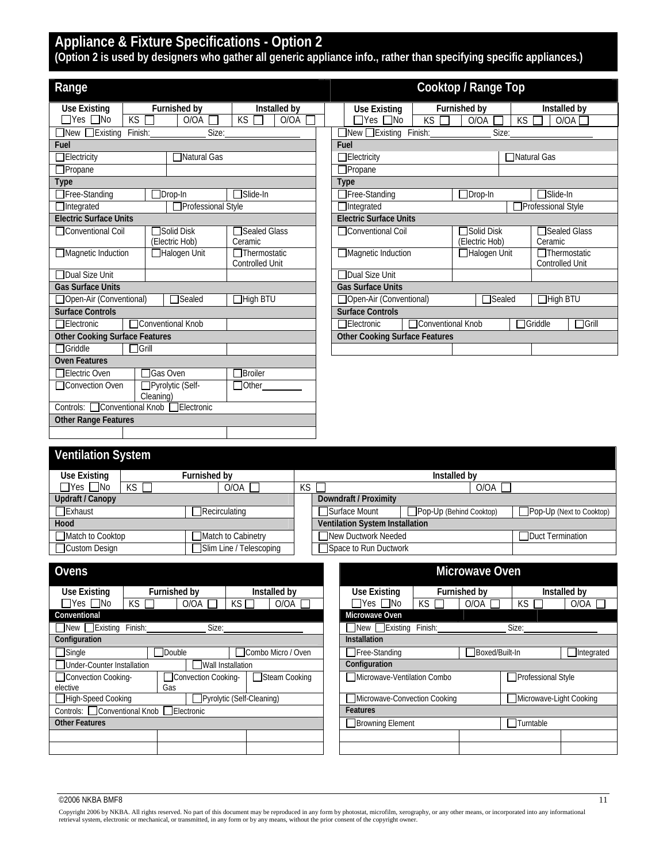## **Appliance & Fixture Specifications - Option 2**

**(Option 2 is used by designers who gather all generic appliance info., rather than specifying specific appliances.)** 

| Range                                 |              |                                            |                                               |  |                                   |                                       |                     | Cooktop / Range Top |           |                                               |  |
|---------------------------------------|--------------|--------------------------------------------|-----------------------------------------------|--|-----------------------------------|---------------------------------------|---------------------|---------------------|-----------|-----------------------------------------------|--|
| Use Existing                          |              | Furnished by                               | Installed by                                  |  |                                   | <b>Use Existing</b>                   |                     | Furnished by        |           | Installed by                                  |  |
| $\Box$ Yes $\Box$ No                  | KS           | O/OA                                       | KS I<br>O/OA                                  |  |                                   | $\Box$ Yes $\Box$ No                  | KS                  | O/OA                | <b>KS</b> | O/OA                                          |  |
| $\Box$ New $\Box$ Existing            | Finish:      | Size:                                      |                                               |  |                                   | $\Box$ New $\Box$ Existing Finish:    |                     | Size:               |           |                                               |  |
| Fuel                                  |              |                                            |                                               |  | Fuel                              |                                       |                     |                     |           |                                               |  |
| $\Box$ Electricity                    |              | ■Natural Gas                               |                                               |  | Natural Gas<br>$\Box$ Electricity |                                       |                     |                     |           |                                               |  |
| $\Box$ Propane                        |              |                                            |                                               |  |                                   | $\Box$ Propane                        |                     |                     |           |                                               |  |
| <b>Type</b>                           |              |                                            |                                               |  |                                   | <b>Type</b>                           |                     |                     |           |                                               |  |
| $\Box$ Free-Standing                  |              | $\Box$ Drop-In                             | □Slide-In                                     |  |                                   | Free-Standing                         |                     | $\Box$ Drop-In      |           | <b>Nalide-In</b>                              |  |
| $\Box$ Integrated                     |              | Professional Style                         |                                               |  |                                   | $\Box$ Integrated                     |                     |                     |           | Professional Style                            |  |
| <b>Electric Surface Units</b>         |              |                                            |                                               |  |                                   | <b>Electric Surface Units</b>         |                     |                     |           |                                               |  |
| □Conventional Coil                    |              | Solid Disk                                 | □Sealed Glass                                 |  |                                   | □Conventional Coil                    |                     | <b>□Solid Disk</b>  |           | □Sealed Glass                                 |  |
|                                       |              | (Electric Hob)                             | Ceramic                                       |  |                                   |                                       |                     | (Electric Hob)      |           | Ceramic                                       |  |
| $\Box$ Magnetic Induction             |              | □Halogen Unit                              | $\Box$ Thermostatic<br><b>Controlled Unit</b> |  |                                   | □Magnetic Induction                   |                     | □Halogen Unit       |           | $\Box$ Thermostatic<br><b>Controlled Unit</b> |  |
| □Dual Size Unit                       |              |                                            |                                               |  |                                   | □Dual Size Unit                       |                     |                     |           |                                               |  |
| <b>Gas Surface Units</b>              |              |                                            |                                               |  | <b>Gas Surface Units</b>          |                                       |                     |                     |           |                                               |  |
| □ Open-Air (Conventional)             |              | $\Box$ Sealed                              | $\Box$ High BTU                               |  |                                   | □ Open-Air (Conventional)             |                     | $\Box$ Sealed       |           | $\Box$ High BTU                               |  |
| <b>Surface Controls</b>               |              |                                            |                                               |  |                                   | <b>Surface Controls</b>               |                     |                     |           |                                               |  |
| $\Box$ Electronic                     |              | □Conventional Knob                         |                                               |  |                                   | □Electronic                           | □ Conventional Knob |                     |           | $\Box$ Griddle<br>$\Box$ Grill                |  |
| <b>Other Cooking Surface Features</b> |              |                                            |                                               |  |                                   | <b>Other Cooking Surface Features</b> |                     |                     |           |                                               |  |
| $\Box$ Griddle                        | $\Box$ Grill |                                            |                                               |  |                                   |                                       |                     |                     |           |                                               |  |
| <b>Oven Features</b>                  |              |                                            |                                               |  |                                   |                                       |                     |                     |           |                                               |  |
| □Electric Oven                        |              | <b>TGas Oven</b>                           | <b>TBroiler</b>                               |  |                                   |                                       |                     |                     |           |                                               |  |
| □Convection Oven                      |              | □ Pyrolytic (Self-<br>Cleaning)            | □ Other                                       |  |                                   |                                       |                     |                     |           |                                               |  |
|                                       |              | Controls: □ Conventional Knob □ Electronic |                                               |  |                                   |                                       |                     |                     |           |                                               |  |
| <b>Other Range Features</b>           |              |                                            |                                               |  |                                   |                                       |                     |                     |           |                                               |  |
|                                       |              |                                            |                                               |  |                                   |                                       |                     |                     |           |                                               |  |

### **Ventilation System**  Use Existing **Furnished by Below Contained by The Second Contained by Installed by Installed by Installed by Installed by Installed by Installed by Installed by Installed by Installed by Installed by Installed by Installed** Yes □No │KS □ │O/OA □ │KS □ │O/OA Updraft / Canopy **Downdraft / Proximity** Exhaust Recirculating Burface Mount Pop-Up (Behind Cooktop) Pop-Up (Next to Cooktop) **Hood Ventilation System Installation** ■Match to Cooktop Match to Cabinetry New Ductwork Needed New Ductor New Ductwork Needed Duct Termination □ Custom Design Slim Line / Telescoping Space to Run Ductwork

| <b>Ovens</b>                                      |     |                     |                           |                    |                                    |     | <b>Microwave Oven</b> |                      |              |
|---------------------------------------------------|-----|---------------------|---------------------------|--------------------|------------------------------------|-----|-----------------------|----------------------|--------------|
| Use Existing                                      |     | <b>Furnished by</b> |                           | Installed by       | Use Existing                       |     | <b>Furnished by</b>   |                      | Installed by |
| $\Box$ Yes $\Box$ No                              | KS. | O/OA                | $KS\Box$                  | $O/OA$ $\Gamma$    | $\Box$ Yes $\Box$ No               | KS. | O/OA                  | KS.                  | O/O          |
| Conventional                                      |     |                     |                           |                    | Microwave Oven                     |     |                       |                      |              |
| New Existing Finish:                              |     | Size:               |                           |                    | $\Box$ New $\Box$ Existing Finish: |     |                       | Size:                |              |
| Configuration                                     |     |                     |                           |                    | <b>Installation</b>                |     |                       |                      |              |
| $\Box$ Single                                     |     | Double              |                           | Combo Micro / Oven | Free-Standing                      |     | Boxed/Built-In        |                      | Int          |
| Under-Counter Installation                        |     |                     | Wall Installation         |                    | Configuration                      |     |                       |                      |              |
| Convection Cooking-                               |     | Convection Cooking- |                           | Steam Cooking      | Microwave-Ventilation Combo        |     |                       | Professional Style   |              |
| elective                                          |     | Gas                 |                           |                    |                                    |     |                       |                      |              |
| High-Speed Cooking                                |     |                     | Pyrolytic (Self-Cleaning) |                    | Microwave-Convection Cooking       |     |                       | Microwave-Light Cook |              |
| Controls: <b>□ Conventional Knob</b> □ Electronic |     |                     |                           |                    | <b>Features</b>                    |     |                       |                      |              |
| <b>Other Features</b>                             |     |                     |                           |                    | □Browning Element                  |     |                       | Turntable            |              |
|                                                   |     |                     |                           |                    |                                    |     |                       |                      |              |
|                                                   |     |                     |                           |                    |                                    |     |                       |                      |              |

| <i>r</i> ens                             |     |                            |                           |                    |                                    |                     | <b>Microwave Oven</b> |                           |              |
|------------------------------------------|-----|----------------------------|---------------------------|--------------------|------------------------------------|---------------------|-----------------------|---------------------------|--------------|
| Jse Existing                             |     | <b>Furnished by</b>        |                           | Installed by       | Use Existing                       | <b>Furnished by</b> |                       |                           | Installed by |
| $\exists$ Yes $\Box$ No                  | KS. | O/OA                       | KS                        | O/OA               | $\Box$ Yes $\Box$ No               | KS.                 | O/OA                  | KS.                       | O/OA         |
| nventional                               |     |                            |                           |                    | Microwave Oven                     |                     |                       |                           |              |
| New Existing Finish:                     |     | Size:                      |                           |                    | $\Box$ New $\Box$ Existing Finish: |                     |                       | Size:                     |              |
| <b>nfiguration</b>                       |     |                            |                           |                    | <b>Installation</b>                |                     |                       |                           |              |
| Single                                   |     | Double                     |                           | Combo Micro / Oven | Free-Standing                      |                     | Boxed/Built-In        |                           | Integrated   |
| <b>Under-Counter Installation</b>        |     |                            | Wall Installation         |                    | Configuration                      |                     |                       |                           |              |
| Convection Cooking-<br>ctive             |     | Convection Cooking-<br>Gas |                           | Steam Cooking      | Microwave-Ventilation Combo        |                     |                       | <b>Professional Style</b> |              |
| High-Speed Cooking                       |     |                            | Pyrolytic (Self-Cleaning) |                    | Microwave-Convection Cooking       |                     |                       | Microwave-Light Cooking   |              |
| ntrols: □ Conventional Knob □ Electronic |     |                            |                           |                    | <b>Features</b>                    |                     |                       |                           |              |
| er Features                              |     |                            |                           |                    | ■Browning Element                  |                     |                       | Turntable                 |              |
|                                          |     |                            |                           |                    |                                    |                     |                       |                           |              |
|                                          |     |                            |                           |                    |                                    |                     |                       |                           |              |

 $^{\circ}$ 2006 NKBA BMF8 11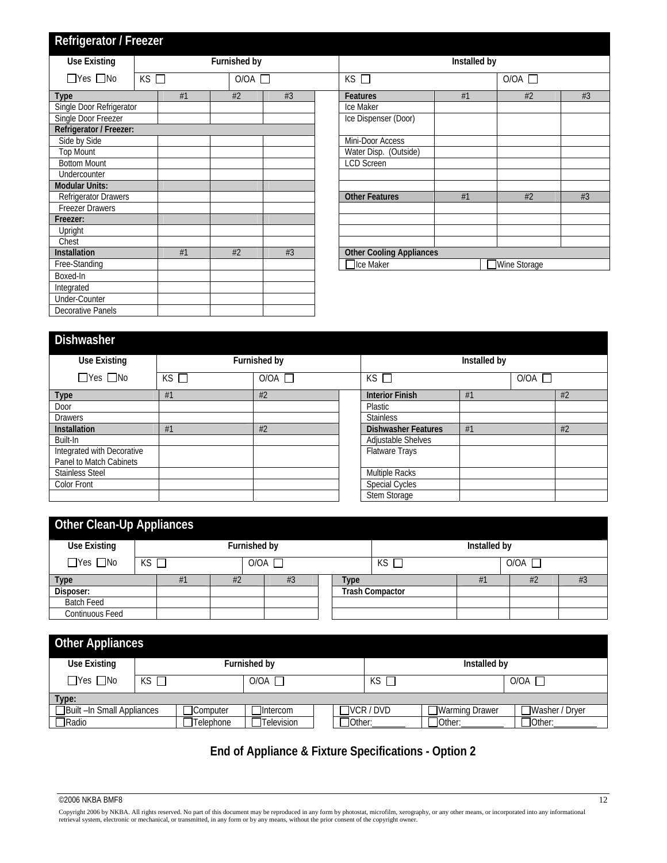## **Refrigerator / Freezer**

| <b>Use Existing</b>      |                                |    |  | Furnished by |                |                                 | Installed by |              |    |
|--------------------------|--------------------------------|----|--|--------------|----------------|---------------------------------|--------------|--------------|----|
| $\Box$ Yes $\Box$ No     | KS<br>$\overline{O}/OA$ $\Box$ |    |  |              | $KS$ $\square$ | $O/OA$ $\Box$                   |              |              |    |
| <b>Type</b>              |                                | #1 |  | #2<br>#3     |                | <b>Features</b>                 | #1           | #2           | #3 |
| Single Door Refrigerator |                                |    |  |              |                | Ice Maker                       |              |              |    |
| Single Door Freezer      |                                |    |  |              |                | Ice Dispenser (Door)            |              |              |    |
| Refrigerator / Freezer:  |                                |    |  |              |                |                                 |              |              |    |
| Side by Side             |                                |    |  |              |                | Mini-Door Access                |              |              |    |
| <b>Top Mount</b>         |                                |    |  |              |                | Water Disp. (Outside)           |              |              |    |
| <b>Bottom Mount</b>      |                                |    |  |              |                | <b>LCD Screen</b>               |              |              |    |
| Undercounter             |                                |    |  |              |                |                                 |              |              |    |
| <b>Modular Units:</b>    |                                |    |  |              |                |                                 |              |              |    |
| Refrigerator Drawers     |                                |    |  |              |                | <b>Other Features</b>           | #1           | #2           | #3 |
| <b>Freezer Drawers</b>   |                                |    |  |              |                |                                 |              |              |    |
| Freezer:                 |                                |    |  |              |                |                                 |              |              |    |
| Upright                  |                                |    |  |              |                |                                 |              |              |    |
| Chest                    |                                |    |  |              |                |                                 |              |              |    |
| <b>Installation</b>      |                                | #1 |  | #2           | #3             | <b>Other Cooling Appliances</b> |              |              |    |
| Free-Standing            |                                |    |  |              |                | □Ice Maker                      |              | Wine Storage |    |
| Boxed-In                 |                                |    |  |              |                |                                 |              |              |    |
| Integrated               |                                |    |  |              |                |                                 |              |              |    |
| Under-Counter            |                                |    |  |              |                |                                 |              |              |    |
| <b>Decorative Panels</b> |                                |    |  |              |                |                                 |              |              |    |

|                                 | Installed by |               |    |
|---------------------------------|--------------|---------------|----|
| $KS$ $\Box$                     |              | $O/OA$ $\Box$ |    |
| <b>Features</b>                 | #1           | #2            | #3 |
| Ice Maker                       |              |               |    |
| Ice Dispenser (Door)            |              |               |    |
| Mini-Door Access                |              |               |    |
| Water Disp. (Outside)           |              |               |    |
| <b>LCD Screen</b>               |              |               |    |
|                                 |              |               |    |
|                                 |              |               |    |
| <b>Other Features</b>           | #1           | #2            | #3 |
|                                 |              |               |    |
|                                 |              |               |    |
|                                 |              |               |    |
|                                 |              |               |    |
| <b>Other Cooling Appliances</b> |              |               |    |
| Ice Maker                       |              | Wine Storage  |    |

| <b>Dishwasher</b>          |             |               |                            |               |  |    |  |  |  |
|----------------------------|-------------|---------------|----------------------------|---------------|--|----|--|--|--|
| <b>Use Existing</b>        |             | Furnished by  | Installed by               |               |  |    |  |  |  |
| $\Box$ Yes $\Box$ No       | $KS$ $\Box$ | $O/OA$ $\Box$ | $KS$ $\square$             | $O/OA$ $\Box$ |  |    |  |  |  |
| <b>Type</b>                | #1          | #2            | <b>Interior Finish</b>     | #1            |  | #2 |  |  |  |
| Door                       |             |               | Plastic                    |               |  |    |  |  |  |
| <b>Drawers</b>             |             |               | <b>Stainless</b>           |               |  |    |  |  |  |
| <b>Installation</b>        | #1          | #2            | <b>Dishwasher Features</b> | #1            |  | #2 |  |  |  |
| Built-In                   |             |               | <b>Adjustable Shelves</b>  |               |  |    |  |  |  |
| Integrated with Decorative |             |               | Flatware Trays             |               |  |    |  |  |  |
| Panel to Match Cabinets    |             |               |                            |               |  |    |  |  |  |
| <b>Stainless Steel</b>     |             |               | Multiple Racks             |               |  |    |  |  |  |
| Color Front                |             |               | Special Cycles             |               |  |    |  |  |  |
|                            |             |               | Stem Storage               |               |  |    |  |  |  |

| <b>Other Clean-Up Appliances</b> |             |    |    |                 |    |  |      |                        |  |              |  |    |
|----------------------------------|-------------|----|----|-----------------|----|--|------|------------------------|--|--------------|--|----|
| Use Existing                     |             |    |    | Furnished by    |    |  |      |                        |  | Installed by |  |    |
| $\Box$ Yes $\Box$ No             | $KS$ $\Box$ |    |    | $O/OA$ $\Gamma$ |    |  |      | O/OA<br>КS             |  |              |  |    |
| <b>Type</b>                      |             | #1 | #2 |                 | #3 |  | Type |                        |  | #1           |  | #3 |
| Disposer:                        |             |    |    |                 |    |  |      | <b>Trash Compactor</b> |  |              |  |    |
| <b>Batch Feed</b>                |             |    |    |                 |    |  |      |                        |  |              |  |    |
| <b>Continuous Feed</b>           |             |    |    |                 |    |  |      |                        |  |              |  |    |

| <b>Other Appliances</b>   |     |           |                 |         |                  |                |                |
|---------------------------|-----|-----------|-----------------|---------|------------------|----------------|----------------|
| Use Existing              |     |           | Furnished by    |         |                  | Installed by   |                |
| $\Box$ Yes $\Box$ No      | KS. |           | $O/OA$ $\Gamma$ |         | KS               |                | O/OA           |
| Type:                     |     |           |                 |         |                  |                |                |
| Built-In Small Appliances |     | Computer  | <b>Intercom</b> |         | $\Box$ VCR / DVD | Warming Drawer | Washer / Dryer |
| ∏Radio                    |     | Telephone | Television      | TOther: |                  | TOther:        | 70ther:        |

## **End of Appliance & Fixture Specifications - Option 2**

 $^{\circ}$ 2006 NKBA BMF8 12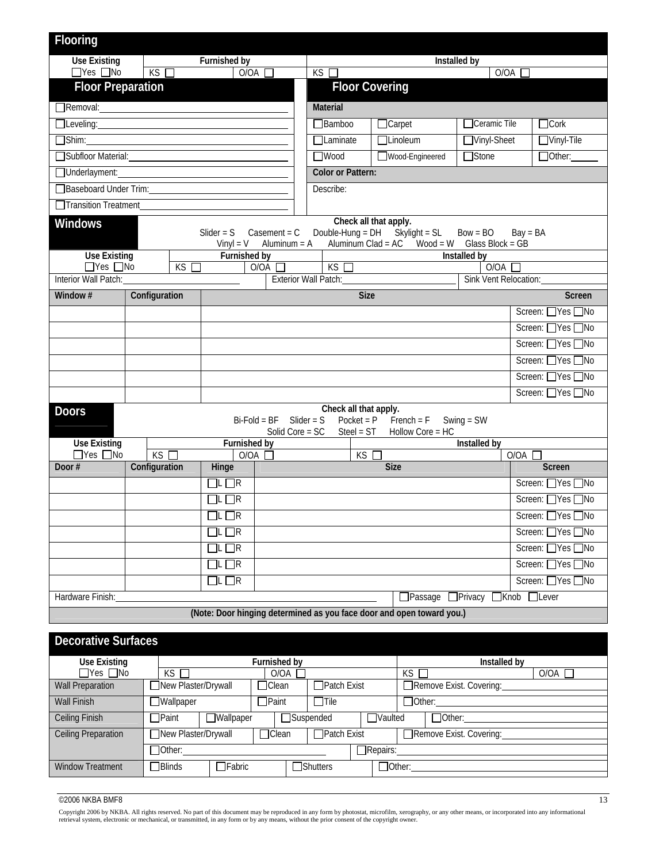| Flooring                                                                             |  |               |  |                     |                                   |  |              |                                       |             |                                                                                                           |                               |            |                    |
|--------------------------------------------------------------------------------------|--|---------------|--|---------------------|-----------------------------------|--|--------------|---------------------------------------|-------------|-----------------------------------------------------------------------------------------------------------|-------------------------------|------------|--------------------|
|                                                                                      |  |               |  |                     |                                   |  |              |                                       |             |                                                                                                           |                               |            |                    |
| <b>Use Existing</b><br>$\Box$ Yes $\Box$ No                                          |  | KS            |  | <b>Furnished by</b> | O/OA                              |  | KS           |                                       |             |                                                                                                           | Installed by<br>O/OA          |            |                    |
| <b>Floor Preparation</b>                                                             |  |               |  |                     |                                   |  |              | <b>Floor Covering</b>                 |             |                                                                                                           |                               |            |                    |
| Removal: Removal:                                                                    |  |               |  |                     |                                   |  |              | <b>Material</b>                       |             |                                                                                                           |                               |            |                    |
| Leveling:                                                                            |  |               |  |                     |                                   |  |              | $\Box$ Bamboo                         |             | $\Box$ Carpet                                                                                             | Ceramic Tile                  |            | $\Box$ Cork        |
| $\Box$ Shim:                                                                         |  |               |  |                     |                                   |  |              | $\Box$ Laminate                       |             | <b>TLinoleum</b>                                                                                          | □Vinyl-Sheet                  |            | $\n  W$            |
| Subfloor Material:                                                                   |  |               |  |                     |                                   |  |              | $\Box$ Wood                           |             | Wood-Engineered                                                                                           | $\Box$ Stone                  |            | Other:             |
| Underlayment:                                                                        |  |               |  |                     |                                   |  |              | <b>Color or Pattern:</b>              |             |                                                                                                           |                               |            |                    |
| Baseboard Under Trim:                                                                |  |               |  |                     |                                   |  |              | Describe:                             |             |                                                                                                           |                               |            |                    |
| Transition Treatment                                                                 |  |               |  |                     |                                   |  |              |                                       |             |                                                                                                           |                               |            |                    |
| <b>Windows</b><br>Slider = $S$<br>$Casement = C$<br>$V$ inyl = $V$<br>Aluminum $= A$ |  |               |  |                     |                                   |  |              |                                       |             | Check all that apply.<br>Double-Hung = DH Skylight = SL<br>Aluminum Clad = $AC$ Wood = W Glass Block = GB | $Bow = BO$                    | $Bay = BA$ |                    |
| <b>Use Existing</b><br>Furnished by                                                  |  |               |  |                     |                                   |  |              |                                       |             |                                                                                                           | Installed by                  |            |                    |
| $\Box$ Yes $\Box$ No<br>KS<br>O/OA<br>Interior Wall Patch:                           |  |               |  |                     |                                   |  |              | KS<br><b>Exterior Wall Patch:</b>     |             |                                                                                                           | O/OA<br>Sink Vent Relocation: |            |                    |
| Window #                                                                             |  | Configuration |  |                     |                                   |  |              |                                       | <b>Size</b> |                                                                                                           |                               |            | <b>Screen</b>      |
|                                                                                      |  |               |  |                     |                                   |  |              |                                       |             |                                                                                                           |                               |            | Screen: ■Yes ■No   |
|                                                                                      |  |               |  |                     |                                   |  |              |                                       |             |                                                                                                           |                               |            | Screen: ■Yes ■No   |
|                                                                                      |  |               |  |                     |                                   |  |              |                                       |             |                                                                                                           |                               |            | Screen: Nes ONo    |
|                                                                                      |  |               |  |                     |                                   |  |              |                                       |             |                                                                                                           |                               |            | Screen: △Yes △No   |
|                                                                                      |  |               |  |                     |                                   |  |              |                                       |             |                                                                                                           |                               |            | Screen: △Yes △No   |
|                                                                                      |  |               |  |                     |                                   |  |              |                                       |             |                                                                                                           |                               |            | Screen: □Yes □No   |
| <b>Doors</b>                                                                         |  |               |  |                     | $Bi-Fold = BF$<br>Solid Core = SC |  | Slider = $S$ | Check all that apply.<br>$Steel = ST$ |             | $Pocket = P$ French = F<br>Hollow Core = HC                                                               | Swing $=$ SW                  |            |                    |
| <b>Use Existing</b>                                                                  |  |               |  | <b>Furnished by</b> |                                   |  |              |                                       |             |                                                                                                           | Installed by                  |            |                    |
| $\Box$ Yes $\Box$ No                                                                 |  | KS            |  |                     | O/OA                              |  |              |                                       | KS          |                                                                                                           |                               | O/OA       |                    |
| Door#                                                                                |  | Configuration |  | Hinge               |                                   |  |              |                                       |             | <b>Size</b>                                                                                               |                               |            | <b>Screen</b>      |
|                                                                                      |  |               |  | $\Box$ L $\Box$ R   |                                   |  |              |                                       |             |                                                                                                           |                               |            | Screen: ■Yes ■No   |
|                                                                                      |  |               |  | $\Box$ L $\Box$ R   |                                   |  |              |                                       |             |                                                                                                           |                               |            | Screen: △Yes △No   |
|                                                                                      |  |               |  | $\Box$ L $\Box$ R   |                                   |  |              |                                       |             |                                                                                                           |                               |            | Screen: ■ Yes ■ No |
|                                                                                      |  |               |  | $\Box$ l $\Box$ R   |                                   |  |              |                                       |             |                                                                                                           |                               |            | Screen: Nes ONo    |
|                                                                                      |  |               |  | $\Box$ l $\Box$ R   |                                   |  |              |                                       |             |                                                                                                           |                               |            | Screen: Ves ONo    |
|                                                                                      |  |               |  | $\Box$ l $\Box$ R   |                                   |  |              |                                       |             |                                                                                                           |                               |            | Screen: △Yes △No   |
|                                                                                      |  |               |  | $\Box$ L $\Box$ R   |                                   |  |              |                                       |             |                                                                                                           |                               |            | Screen: △Yes △No   |
| Hardware Finish:                                                                     |  |               |  |                     |                                   |  |              |                                       |             |                                                                                                           | Passage □ Privacy □ Knob      |            | $\Box$ Lever       |
|                                                                                      |  |               |  |                     |                                   |  |              |                                       |             | (Note: Door hinging determined as you face door and open toward you.)                                     |                               |            |                    |
| <b>Decorative Surfaces</b>                                                           |  |               |  |                     |                                   |  |              |                                       |             |                                                                                                           |                               |            |                    |
| <b>Use Existing</b>                                                                  |  |               |  |                     | Furnished by                      |  |              |                                       |             |                                                                                                           | Installed by                  |            |                    |
| $\Box$ Yes $\Box$ No                                                                 |  |               |  |                     | O/OA                              |  |              |                                       |             | KS                                                                                                        |                               |            | O/OA               |
| KS<br>New Plaster/Drywall<br><b>Wall Preparation</b><br>Clean                        |  |               |  |                     |                                   |  |              | $\Box$ Patch Exist                    |             | Remove Exist. Covering:                                                                                   |                               |            |                    |

| <b>Wall Finish</b>      | <b>Wallpaper</b>                 |                     | <b>TPaint</b>    | 7Tile               |                    | $\Box$ Other:  |                         |  |
|-------------------------|----------------------------------|---------------------|------------------|---------------------|--------------------|----------------|-------------------------|--|
| Ceiling Finish          | Wallpaper<br><b>∃Paint</b>       |                     |                  | <b>∃Suspended</b>   | <b>Naulted</b>     |                | $\Box$ Other:           |  |
| Ceiling Preparation     |                                  | New Plaster/Drywall |                  | <b>TPatch Exist</b> |                    |                | Remove Exist. Covering: |  |
|                         | 70ther:                          |                     |                  |                     | $\exists$ Repairs: |                |                         |  |
| <b>Window Treatment</b> | <b>TFabric</b><br><b>7Blinds</b> |                     | <b>TShutters</b> |                     |                    | <b>TOther:</b> |                         |  |
|                         |                                  |                     |                  |                     |                    |                |                         |  |

 $\degree$ 2006 NKBA BMF8 13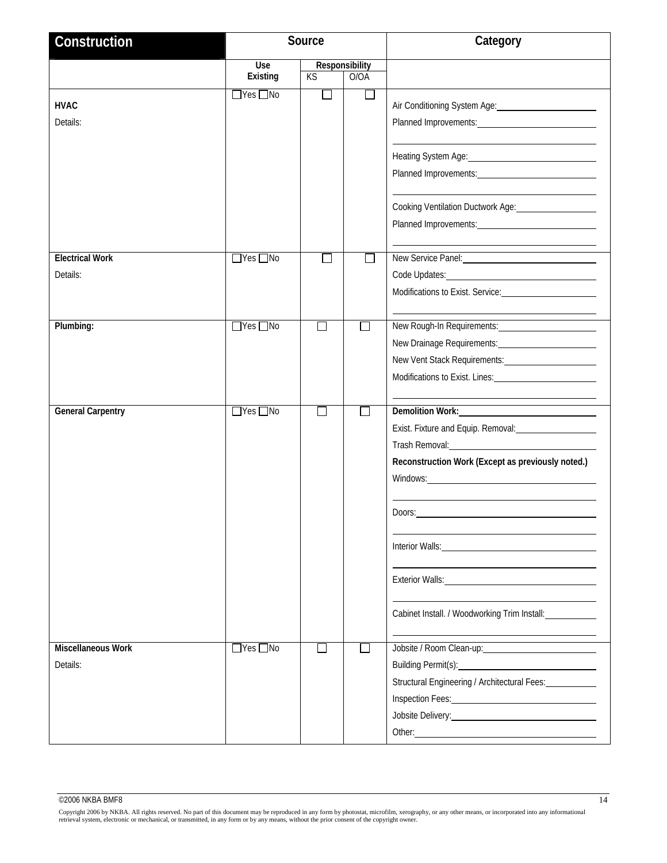| Construction                          |                      | Source         |                | Category                                                                                                                                                                                                                                                                                                                                                                                                                                                                                                                                                                                             |
|---------------------------------------|----------------------|----------------|----------------|------------------------------------------------------------------------------------------------------------------------------------------------------------------------------------------------------------------------------------------------------------------------------------------------------------------------------------------------------------------------------------------------------------------------------------------------------------------------------------------------------------------------------------------------------------------------------------------------------|
|                                       | Use                  |                | Responsibility |                                                                                                                                                                                                                                                                                                                                                                                                                                                                                                                                                                                                      |
|                                       | Existing             | KS             | O/OA           |                                                                                                                                                                                                                                                                                                                                                                                                                                                                                                                                                                                                      |
| <b>HVAC</b><br>Details:               | $\Box$ Yes $\Box$ No | $\Box$         | $\mathsf{L}$   | Air Conditioning System Age: 1988                                                                                                                                                                                                                                                                                                                                                                                                                                                                                                                                                                    |
|                                       |                      |                |                | Heating System Age: 1997<br>Planned Improvements:                                                                                                                                                                                                                                                                                                                                                                                                                                                                                                                                                    |
|                                       |                      |                |                | Cooking Ventilation Ductwork Age: 1988                                                                                                                                                                                                                                                                                                                                                                                                                                                                                                                                                               |
| <b>Electrical Work</b>                | $\Box$ Yes $\Box$ No |                | $\mathbf{I}$   | New Service Panel:                                                                                                                                                                                                                                                                                                                                                                                                                                                                                                                                                                                   |
| Details:                              |                      |                |                |                                                                                                                                                                                                                                                                                                                                                                                                                                                                                                                                                                                                      |
| Plumbing:                             | $\Box$ Yes $\Box$ No |                | $\Box$         | New Rough-In Requirements:<br>Modifications to Exist. Lines: 1988. Modifications to Exist. Lines:                                                                                                                                                                                                                                                                                                                                                                                                                                                                                                    |
| <b>General Carpentry</b>              | $\Box$ Yes $\Box$ No | $\mathbb{R}^n$ | П              | Demolition Work:<br>Exist. Fixture and Equip. Removal: <b>Existen Fixture</b><br>Trash Removal: Manual Assemblance Contract Contract Contract Contract Contract Contract Contract Contract Contract Contract Contract Contract Contract Contract Contract Contract Contract Contract Contract Contract Contract<br>Reconstruction Work (Except as previously noted.)<br>Doors:<br>Interior Walls: <u>Contract of the Contract of Australian Contract of Australian Contract of Australian Contract of</u><br>Exterior Walls: No. 2014 19:00 No. 2014<br>Cabinet Install. / Woodworking Trim Install: |
| <b>Miscellaneous Work</b><br>Details: | $\Box$ Yes $\Box$ No |                |                | Jobsite / Room Clean-up: 1999<br>Building Permit(s): 2008 2014 2022 2023 2024 2022 2023 2024 2022 2023 2024 2022 2023 2024 2022 2023 2024 2022 2023 2024 2022 2023 2024 2022 2023 2024 2022 2023 2024 2022 2023 2024 2022 2023 2024 2022 2023 2024 2022 2023 20<br>Structural Engineering / Architectural Fees:<br>Jobsite Delivery: Note and the Contract of the Contract of the Contract of the Contract of the Contract of the                                                                                                                                                                    |

Copyright 2006 by NKBA. All rights reserved. No part of this document may be reproduced in any form by photostat, microfilm, xerography, or any other means, or incorporated into any informational<br>retrieval system, electron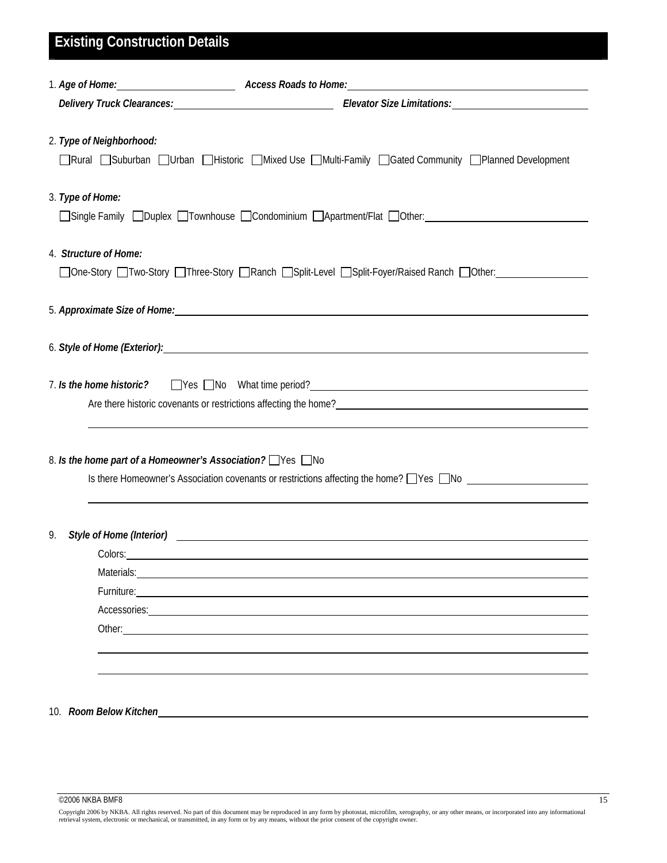| <b>Existing Construction Details</b> |                                                                                                                                                                                                                                     |
|--------------------------------------|-------------------------------------------------------------------------------------------------------------------------------------------------------------------------------------------------------------------------------------|
|                                      |                                                                                                                                                                                                                                     |
|                                      | Delivery Truck Clearances: Manual Clearances: Elevator Size Limitations: Manual Clearances: Manual Clearances                                                                                                                       |
| 2. Type of Neighborhood:             | □Rural □Suburban □Urban □Historic □Mixed Use □Multi-Family □Gated Community □Planned Development                                                                                                                                    |
| 3. Type of Home:                     |                                                                                                                                                                                                                                     |
| 4. Structure of Home:                | □ One-Story □ Two-Story □ Three-Story □ Ranch □ Split-Level □ Split-Foyer/Raised Ranch □ Other: ______________                                                                                                                      |
|                                      |                                                                                                                                                                                                                                     |
|                                      |                                                                                                                                                                                                                                     |
|                                      | Are there historic covenants or restrictions affecting the home?<br>The management of the contract of the contract of the contract of the contract of the contract of the contract of the contract of the contract of the contra    |
|                                      | 8. Is the home part of a Homeowner's Association? Ves No<br>Is there Homeowner's Association covenants or restrictions affecting the home? $\Box$ Yes $\Box$ No                                                                     |
| 9.                                   | Style of Home (Interior) Style of Home (Interior)                                                                                                                                                                                   |
|                                      | Colors: <u>colors: colors:</u> colors: colors: colors: colors: colors: colors: colors: colors: colors: colors: colors: colors: colors: colors: colors: colors: colors: colors: colors: colors: colors: colors: colors: colors: colo |
|                                      |                                                                                                                                                                                                                                     |
|                                      |                                                                                                                                                                                                                                     |
|                                      |                                                                                                                                                                                                                                     |
| Other:                               |                                                                                                                                                                                                                                     |
|                                      |                                                                                                                                                                                                                                     |
|                                      |                                                                                                                                                                                                                                     |
| 10. Room Below Kitchen               |                                                                                                                                                                                                                                     |

 $\circ$ 2006 NKBA BMF8 15

Copyright 2006 by NKBA. All rights reserved. No part of this document may be reproduced in any form by photostat, microfilm, xerography, or any other means, or incorporated into any informational<br>retrieval system, electron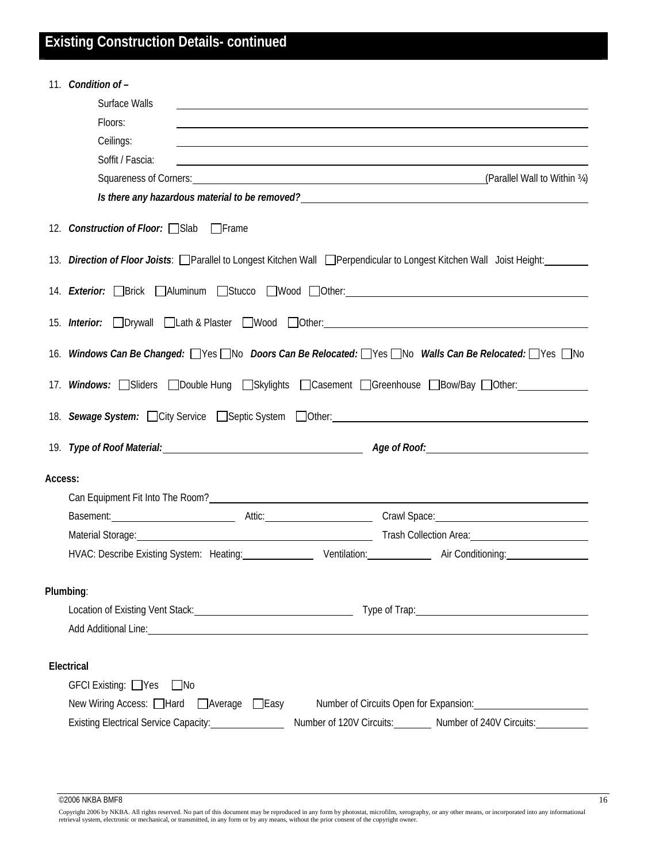# **Existing Construction Details- continued**

|           | 11. Condition of -                                                                                                                                                                                                             |
|-----------|--------------------------------------------------------------------------------------------------------------------------------------------------------------------------------------------------------------------------------|
|           | Surface Walls                                                                                                                                                                                                                  |
|           | Floors:                                                                                                                                                                                                                        |
|           | Ceilings:                                                                                                                                                                                                                      |
|           | Soffit / Fascia:                                                                                                                                                                                                               |
|           | (Parallel Wall to Within 34) Squareness of Corners: Contract the Contract of Corners of Corners:                                                                                                                               |
|           | Is there any hazardous material to be removed?<br><u> and there</u> any hazardous material to be removed?                                                                                                                      |
|           | 12. Construction of Floor: Slab Frame                                                                                                                                                                                          |
|           | 13. Direction of Floor Joists: Parallel to Longest Kitchen Wall Perpendicular to Longest Kitchen Wall Joist Height:                                                                                                            |
|           | 14. <i>Exterior:</i> □Brick □Aluminum □Stucco □Wood □Other:                                                                                                                                                                    |
|           | 15. <i>Interior:</i> □Drywall □Lath & Plaster □Wood □Other: <u>△△△△△△△△△△△△△△△△△△△△△△</u> △△△△△△△△                                                                                                                             |
|           | 16. Windows Can Be Changed: Wes No Doors Can Be Relocated: Nes No Walls Can Be Relocated: Nes No                                                                                                                               |
|           | 17. Windows: Sliders <b>Double Hung Skylights DCasement DGreenhouse DBow/Bay DOther:</b>                                                                                                                                       |
|           |                                                                                                                                                                                                                                |
|           |                                                                                                                                                                                                                                |
| Access:   |                                                                                                                                                                                                                                |
|           |                                                                                                                                                                                                                                |
|           | Basement: 2000 Crawl Space: 2000 Crawl Space: 2000 Crawl Space: 2000 Crawl Space: 2000 Crawl Space: 2000 Crawl Space: 2000 Crawl Space: 2000 Crawl Space: 2000 Crawl Space: 2000 Crawl Space: 2000 Crawl Space: 2000 Crawl Spa |
|           | Material Storage: 1988 Collection Area: 1988 Collection Area: 1989 Collection Area: 1989 Collection Area: 1989 Collection Area: 1989 Collection Area: 1989 Collection Area: 1989 Collection Area: 1989 Collection Area: 1989 C |
|           | HVAC: Describe Existing System: Heating: Ventilation: Air Conditioning:                                                                                                                                                        |
| Plumbing: |                                                                                                                                                                                                                                |
|           |                                                                                                                                                                                                                                |
|           | Add Additional Line: Note that the contract of the contract of the contract of the contract of the contract of the contract of the contract of the contract of the contract of the contract of the contract of the contract of |
|           | Electrical                                                                                                                                                                                                                     |
|           | $GFCI$ Existing: $\Box$ Yes<br>$\Box$ No                                                                                                                                                                                       |
|           | New Wiring Access: □Hard □Average □Easy<br>Number of Circuits Open for Expansion: Number of Circuits Open for Expansion:                                                                                                       |
|           | Existing Electrical Service Capacity: _________________<br>Number of 120V Circuits: Number of 240V Circuits:                                                                                                                   |
|           |                                                                                                                                                                                                                                |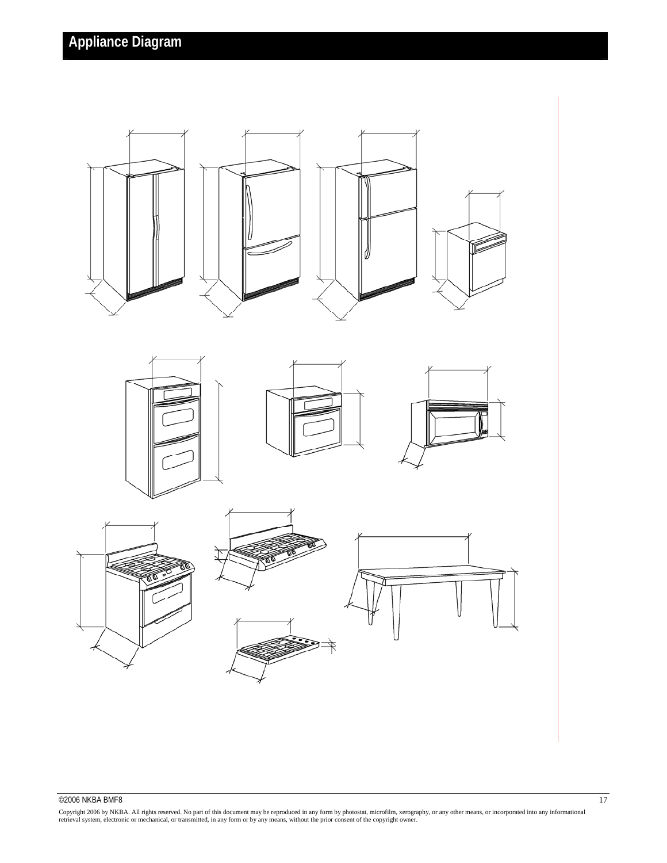

### $@2006$  NKBA BMF8 17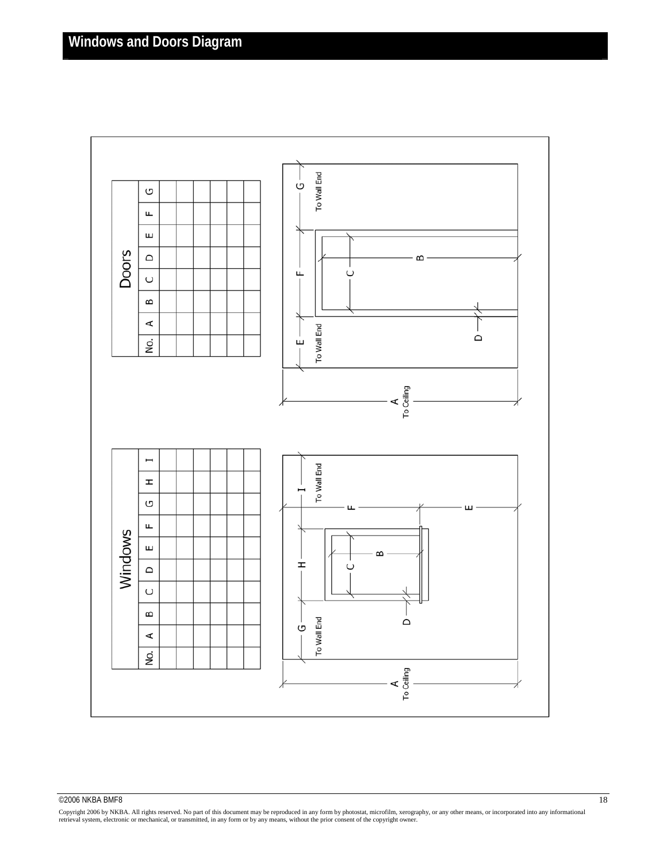

#### $\overline{\textcirc}$  2006 NKBA BMF8 18

Copyright 2006 by NKBA. All rights reserved. No part of this document may be reproduced in any form by photostat, microfilm, xerography, or any other means, or incorporated into any informational<br>retrieval system, electron